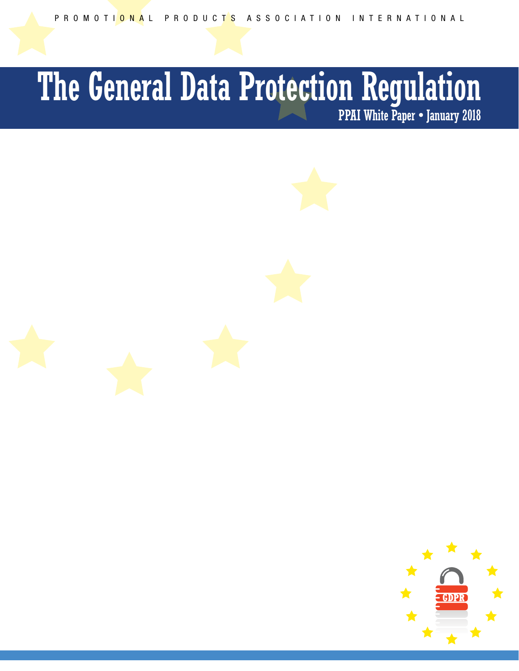# The General Data Protection Regulation

PPAI White Paper • January 2018

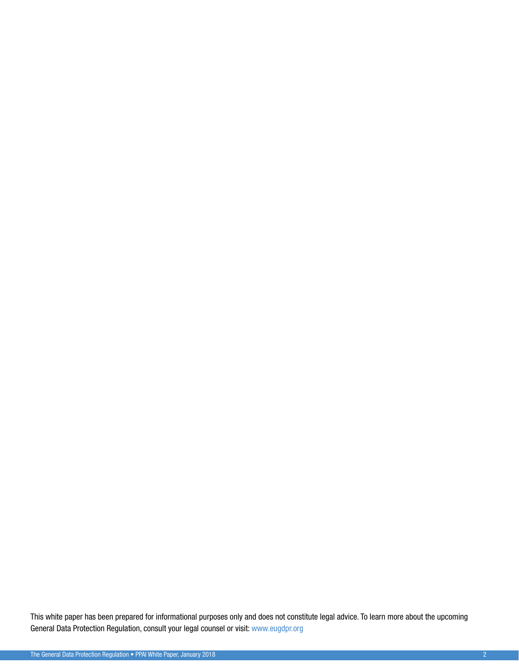This white paper has been prepared for informational purposes only and does not constitute legal advice. To learn more about the upcoming General Data Protection Regulation, consult your legal counsel or visit: [www.eugdpr.org](http://www.eugdpr.org)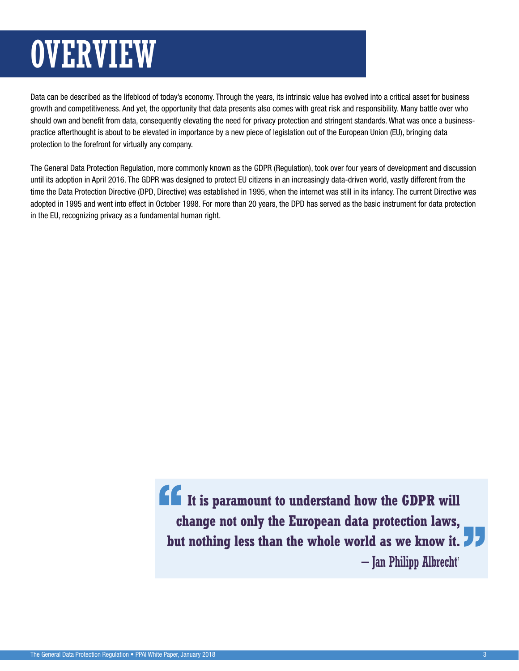# **OVERVIEW**

Data can be described as the lifeblood of today's economy. Through the years, its intrinsic value has evolved into a critical asset for business growth and competitiveness. And yet, the opportunity that data presents also comes with great risk and responsibility. Many battle over who should own and benefit from data, consequently elevating the need for privacy protection and stringent standards. What was once a businesspractice afterthought is about to be elevated in importance by a new piece of legislation out of the European Union (EU), bringing data protection to the forefront for virtually any company.

The General Data Protection Regulation, more commonly known as the GDPR (Regulation), took over four years of development and discussion until its adoption in April 2016. The GDPR was designed to protect EU citizens in an increasingly data-driven world, vastly different from the time the Data Protection Directive (DPD, Directive) was established in 1995, when the internet was still in its infancy. The current Directive was adopted in 1995 and went into effect in October 1998. For more than 20 years, the DPD has served as the basic instrument for data protection in the EU, recognizing privacy as a fundamental human right.

> **It is paramount to understand how the GDPR will change not only the European data protection laws, but nothing less than the whole world as we know it.** — Jan Philipp Albrecht<sup>®</sup> **"**<br>**"**<br>**"**<br>**but "**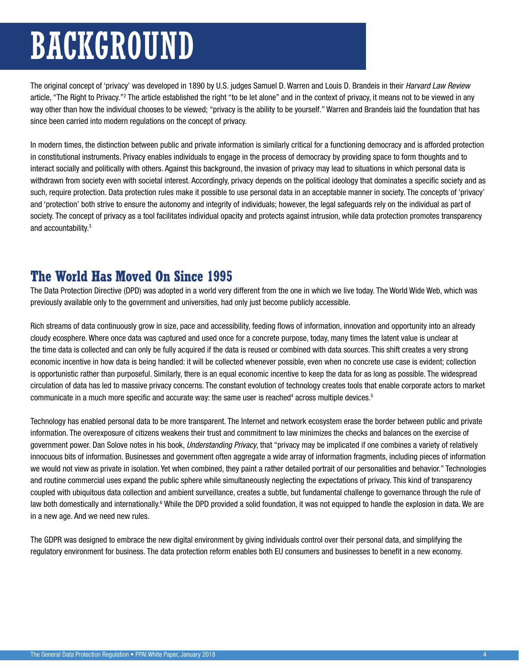## BACKGROUND

The original concept of 'privacy' was developed in 1890 by U.S. judges Samuel D. Warren and Louis D. Brandeis in their *Harvard Law Review*  article, "The Right to Privacy."<sup>2</sup> The article established the right "to be let alone" and in the context of privacy, it means not to be viewed in any way other than how the individual chooses to be viewed; "privacy is the ability to be yourself." Warren and Brandeis laid the foundation that has since been carried into modern regulations on the concept of privacy.

In modern times, the distinction between public and private information is similarly critical for a functioning democracy and is afforded protection in constitutional instruments. Privacy enables individuals to engage in the process of democracy by providing space to form thoughts and to interact socially and politically with others. Against this background, the invasion of privacy may lead to situations in which personal data is withdrawn from society even with societal interest. Accordingly, privacy depends on the political ideology that dominates a specific society and as such, require protection. Data protection rules make it possible to use personal data in an acceptable manner in society. The concepts of 'privacy' and 'protection' both strive to ensure the autonomy and integrity of individuals; however, the legal safeguards rely on the individual as part of society. The concept of privacy as a tool facilitates individual opacity and protects against intrusion, while data protection promotes transparency and accountability.3

### **The World Has Moved On Since 1995**

The Data Protection Directive (DPD) was adopted in a world very different from the one in which we live today. The World Wide Web, which was previously available only to the government and universities, had only just become publicly accessible.

Rich streams of data continuously grow in size, pace and accessibility, feeding flows of information, innovation and opportunity into an already cloudy ecosphere. Where once data was captured and used once for a concrete purpose, today, many times the latent value is unclear at the time data is collected and can only be fully acquired if the data is reused or combined with data sources. This shift creates a very strong economic incentive in how data is being handled: it will be collected whenever possible, even when no concrete use case is evident; collection is opportunistic rather than purposeful. Similarly, there is an equal economic incentive to keep the data for as long as possible. The widespread circulation of data has led to massive privacy concerns. The constant evolution of technology creates tools that enable corporate actors to market communicate in a much more specific and accurate way: the same user is reached<sup>4</sup> across multiple devices.<sup>5</sup>

Technology has enabled personal data to be more transparent. The Internet and network ecosystem erase the border between public and private information. The overexposure of citizens weakens their trust and commitment to law minimizes the checks and balances on the exercise of government power. Dan Solove notes in his book, *Understanding Privacy*, that "privacy may be implicated if one combines a variety of relatively innocuous bits of information. Businesses and government often aggregate a wide array of information fragments, including pieces of information we would not view as private in isolation. Yet when combined, they paint a rather detailed portrait of our personalities and behavior." Technologies and routine commercial uses expand the public sphere while simultaneously neglecting the expectations of privacy. This kind of transparency coupled with ubiquitous data collection and ambient surveillance, creates a subtle, but fundamental challenge to governance through the rule of law both domestically and internationally.<sup>6</sup> While the DPD provided a solid foundation, it was not equipped to handle the explosion in data. We are in a new age. And we need new rules.

The GDPR was designed to embrace the new digital environment by giving individuals control over their personal data, and simplifying the regulatory environment for business. The data protection reform enables both EU consumers and businesses to benefit in a new economy.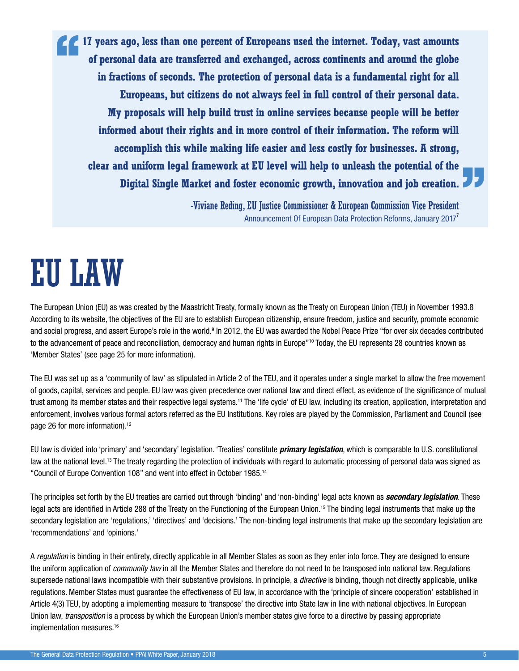**17 years ago, less than one percent of Europeans used the internet. Today, vast amounts of personal data are transferred and exchanged, across continents and around the globe in fractions of seconds. The protection of personal data is a fundamental right for all Europeans, but citizens do not always feel in full control of their personal data. My proposals will help build trust in online services because people will be better informed about their rights and in more control of their information. The reform will accomplish this while making life easier and less costly for businesses. A strong, clear and uniform legal framework at EU level will help to unleash the potential of the Digital Single Market and foster economic growth, innovation and job creation. " "**

-Viviane Reding, EU Justice Commissioner & European Commission Vice President Announcement Of European Data Protection Reforms, January 2017<sup>7</sup>

## EU LAW

The European Union (EU) as was created by the Maastricht Treaty, formally known as the Treaty on European Union (TEU) in November 1993.8 According to its website, the objectives of the EU are to establish European citizenship, ensure freedom, justice and security, promote economic and social progress, and assert Europe's role in the world.<sup>9</sup> In 2012, the EU was awarded the Nobel Peace Prize "for over six decades contributed to the advancement of peace and reconciliation, democracy and human rights in Europe"<sup>10</sup> Today, the EU represents 28 countries known as 'Member States' (see page 25 for more information).

The EU was set up as a 'community of law' as stipulated in Article 2 of the TEU, and it operates under a single market to allow the free movement of goods, capital, services and people. EU law was given precedence over national law and direct effect, as evidence of the significance of mutual trust among its member states and their respective legal systems.11 The 'life cycle' of EU law, including its creation, application, interpretation and enforcement, involves various formal actors referred as the EU Institutions. Key roles are played by the Commission, Parliament and Council (see page 26 for more information).<sup>12</sup>

EU law is divided into 'primary' and 'secondary' legislation. 'Treaties' constitute *primary legislation*, which is comparable to U.S. constitutional law at the national level.<sup>13</sup> The treaty regarding the protection of individuals with regard to automatic processing of personal data was signed as "Council of Europe Convention 108" and went into effect in October 1985. 14

The principles set forth by the EU treaties are carried out through 'binding' and 'non-binding' legal acts known as *secondary legislation*. These legal acts are identified in Article 288 of the Treaty on the Functioning of the European Union.15 The binding legal instruments that make up the secondary legislation are 'regulations,' 'directives' and 'decisions.' The non-binding legal instruments that make up the secondary legislation are 'recommendations' and 'opinions.'

A *regulation* is binding in their entirety, directly applicable in all Member States as soon as they enter into force. They are designed to ensure the uniform application of *community law* in all the Member States and therefore do not need to be transposed into national law. Regulations supersede national laws incompatible with their substantive provisions. In principle, a *directive* is binding, though not directly applicable, unlike regulations. Member States must guarantee the effectiveness of EU law, in accordance with the 'principle of sincere cooperation' established in Article 4(3) TEU, by adopting a implementing measure to 'transpose' the directive into State law in line with national objectives. In European Union law, *transposition* is a process by which the European Union's member states give force to a directive by passing appropriate implementation measures.<sup>16</sup>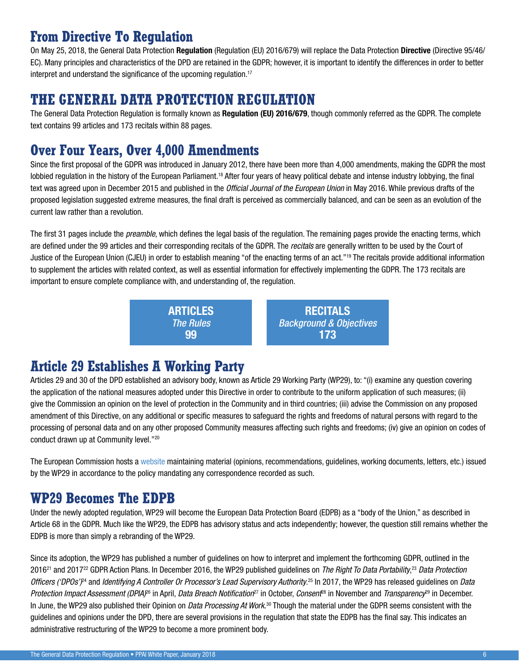## **From Directive To Regulation**

On May 25, 2018, the General Data Protection Regulation (Regulation (EU) 2016/679) will replace the Data Protection Directive (Directive 95/46/ EC). Many principles and characteristics of the DPD are retained in the GDPR; however, it is important to identify the differences in order to better interpret and understand the significance of the upcoming regulation.17

## **THE GENERAL DATA PROTECTION REGULATION**

The General Data Protection Regulation is formally known as Regulation (EU) 2016/679, though commonly referred as the GDPR. The complete text contains 99 articles and 173 recitals within 88 pages.

## **Over Four Years, Over 4,000 Amendments**

Since the first proposal of the GDPR was introduced in January 2012, there have been more than 4,000 amendments, making the GDPR the most lobbied regulation in the history of the European Parliament.<sup>18</sup> After four years of heavy political debate and intense industry lobbying, the final text was agreed upon in December 2015 and published in the *Official Journal of the European Union* in May 2016. While previous drafts of the proposed legislation suggested extreme measures, the final draft is perceived as commercially balanced, and can be seen as an evolution of the current law rather than a revolution.

The first 31 pages include the *preamble*, which defines the legal basis of the regulation. The remaining pages provide the enacting terms, which are defined under the 99 articles and their corresponding recitals of the GDPR. The *recitals* are generally written to be used by the Court of Justice of the European Union (CJEU) in order to establish meaning "of the enacting terms of an act."19 The recitals provide additional information to supplement the articles with related context, as well as essential information for effectively implementing the GDPR. The 173 recitals are important to ensure complete compliance with, and understanding of, the regulation.

> ARTICLES *The Rules* 99

**RECITALS** *Background & Objectives* 173

## **Article 29 Establishes A Working Party**

Articles 29 and 30 of the DPD established an advisory body, known as Article 29 Working Party (WP29), to: "(i) examine any question covering the application of the national measures adopted under this Directive in order to contribute to the uniform application of such measures; (ii) give the Commission an opinion on the level of protection in the Community and in third countries; (iii) advise the Commission on any proposed amendment of this Directive, on any additional or specific measures to safeguard the rights and freedoms of natural persons with regard to the processing of personal data and on any other proposed Community measures affecting such rights and freedoms; (iv) give an opinion on codes of conduct drawn up at Community level."20

The European Commission hosts a [website](http://ec.europa.eu/newsroom/article29/news-overview.cfm) maintaining material (opinions, recommendations, guidelines, working documents, letters, etc.) issued by the WP29 in accordance to the policy mandating any correspondence recorded as such.

## **WP29 Becomes The EDPB**

Under the newly adopted regulation, WP29 will become the European Data Protection Board (EDPB) as a "body of the Union," as described in Article 68 in the GDPR. Much like the WP29, the EDPB has advisory status and acts independently; however, the question still remains whether the EDPB is more than simply a rebranding of the WP29.

Since its adoption, the WP29 has published a number of guidelines on how to interpret and implement the forthcoming GDPR, outlined in the 2016<sup>21</sup> and 2017<sup>22</sup> GDPR Action Plans. In December 2016, the WP29 published guidelines on *The Right To Data Portability*,<sup>23</sup> Data Protection Officers ('DPOs')<sup>24</sup> and *Identifying A Controller Or Processor's Lead Supervisory Authority*.<sup>25</sup> In 2017, the WP29 has released guidelines on *Data Protection Impact Assessment (DPIA)*26 in April, *Data Breach Notification*27 in October, *Consent*28 in November and *Transparency*29 in December. In June, the WP29 also published their Opinion on *Data Processing At Work*. 30 Though the material under the GDPR seems consistent with the guidelines and opinions under the DPD, there are several provisions in the regulation that state the EDPB has the final say. This indicates an administrative restructuring of the WP29 to become a more prominent body.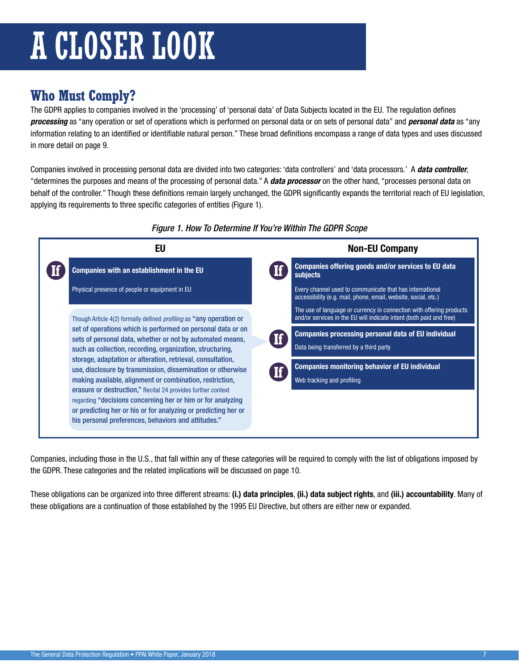## A CLOSER LOOK

## **Who Must Comply?**

The GDPR applies to companies involved in the 'processing' of 'personal data' of Data Subjects located in the EU. The regulation defines *processing* as "any operation or set of operations which is performed on personal data or on sets of personal data" and *personal data* as "any information relating to an identified or identifiable natural person." These broad definitions encompass a range of data types and uses discussed in more detail on page 9.

Companies involved in processing personal data are divided into two categories: 'data controllers' and 'data processors.' A *data controller*, "determines the purposes and means of the processing of personal data." A *data processor* on the other hand, "processes personal data on behalf of the controller." Though these definitions remain largely unchanged, the GDPR significantly expands the territorial reach of EU legislation, applying its requirements to three specific categories of entities (Figure 1).



#### *Figure 1. How To Determine If You're Within The GDPR Scope*

Companies, including those in the U.S., that fall within any of these categories will be required to comply with the list of obligations imposed by the GDPR. These categories and the related implications will be discussed on page 10.

These obligations can be organized into three different streams: (i.) data principles, (ii.) data subject rights, and (iii.) accountability. Many of these obligations are a continuation of those established by the 1995 EU Directive, but others are either new or expanded.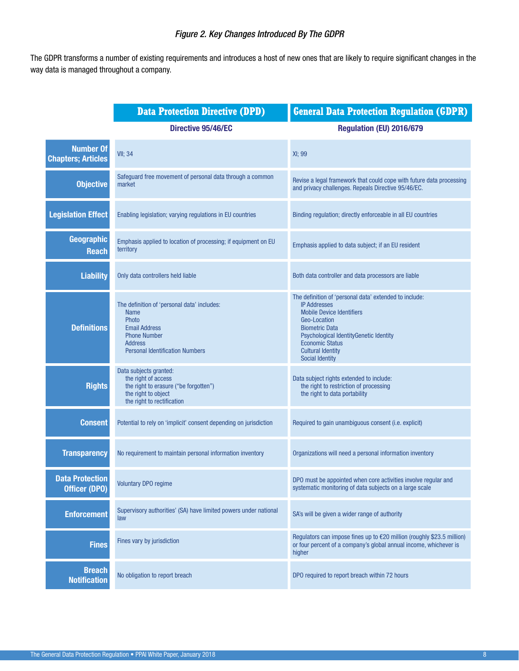#### *Figure 2. Key Changes Introduced By The GDPR*

The GDPR transforms a number of existing requirements and introduces a host of new ones that are likely to require significant changes in the way data is managed throughout a company.

|                                                | <b>Data Protection Directive (DPD)</b>                                                                                                                                         | <b>General Data Protection Regulation (GDPR)</b>                                                                                                                                                                                                                                     |  |  |
|------------------------------------------------|--------------------------------------------------------------------------------------------------------------------------------------------------------------------------------|--------------------------------------------------------------------------------------------------------------------------------------------------------------------------------------------------------------------------------------------------------------------------------------|--|--|
|                                                | Directive 95/46/EC                                                                                                                                                             | Regulation (EU) 2016/679                                                                                                                                                                                                                                                             |  |  |
| <b>Number Of</b><br><b>Chapters; Articles</b>  | <b>VII</b> ; 34                                                                                                                                                                | XI; 99                                                                                                                                                                                                                                                                               |  |  |
| <b>Objective</b>                               | Safeguard free movement of personal data through a common<br>market                                                                                                            | Revise a legal framework that could cope with future data processing<br>and privacy challenges. Repeals Directive 95/46/EC.                                                                                                                                                          |  |  |
| <b>Legislation Effect</b>                      | Enabling legislation; varying regulations in EU countries                                                                                                                      | Binding regulation; directly enforceable in all EU countries                                                                                                                                                                                                                         |  |  |
| Geographic<br><b>Reach</b>                     | Emphasis applied to location of processing; if equipment on EU<br>territory                                                                                                    | Emphasis applied to data subject; if an EU resident                                                                                                                                                                                                                                  |  |  |
| <b>Liability</b>                               | Only data controllers held liable                                                                                                                                              | Both data controller and data processors are liable                                                                                                                                                                                                                                  |  |  |
| <b>Definitions</b>                             | The definition of 'personal data' includes:<br><b>Name</b><br>Photo<br><b>Email Address</b><br><b>Phone Number</b><br><b>Address</b><br><b>Personal Identification Numbers</b> | The definition of 'personal data' extended to include:<br><b>IP Addresses</b><br><b>Mobile Device Identifiers</b><br>Geo-Location<br><b>Biometric Data</b><br>Psychological IdentityGenetic Identity<br><b>Economic Status</b><br><b>Cultural Identity</b><br><b>Social Identity</b> |  |  |
| <b>Rights</b>                                  | Data subjects granted:<br>the right of access<br>the right to erasure ("be forgotten")<br>the right to object<br>the right to rectification                                    | Data subject rights extended to include:<br>the right to restriction of processing<br>the right to data portability                                                                                                                                                                  |  |  |
| <b>Consent</b>                                 | Potential to rely on 'implicit' consent depending on jurisdiction                                                                                                              | Required to gain unambiguous consent ( <i>i.e.</i> explicit)                                                                                                                                                                                                                         |  |  |
| <b>Transparency</b>                            | No requirement to maintain personal information inventory                                                                                                                      | Organizations will need a personal information inventory                                                                                                                                                                                                                             |  |  |
| <b>Data Protection</b><br><b>Officer (DPO)</b> | <b>Voluntary DPO regime</b>                                                                                                                                                    | DPO must be appointed when core activities involve regular and<br>systematic monitoring of data subjects on a large scale                                                                                                                                                            |  |  |
| <b>Enforcement</b>                             | Supervisory authorities' (SA) have limited powers under national<br>law                                                                                                        | SA's will be given a wider range of authority                                                                                                                                                                                                                                        |  |  |
| <b>Fines</b>                                   | Fines vary by jurisdiction                                                                                                                                                     | Regulators can impose fines up to €20 million (roughly \$23.5 million)<br>or four percent of a company's global annual income, whichever is<br>higher                                                                                                                                |  |  |
| <b>Breach</b><br><b>Notification</b>           | No obligation to report breach                                                                                                                                                 | DPO required to report breach within 72 hours                                                                                                                                                                                                                                        |  |  |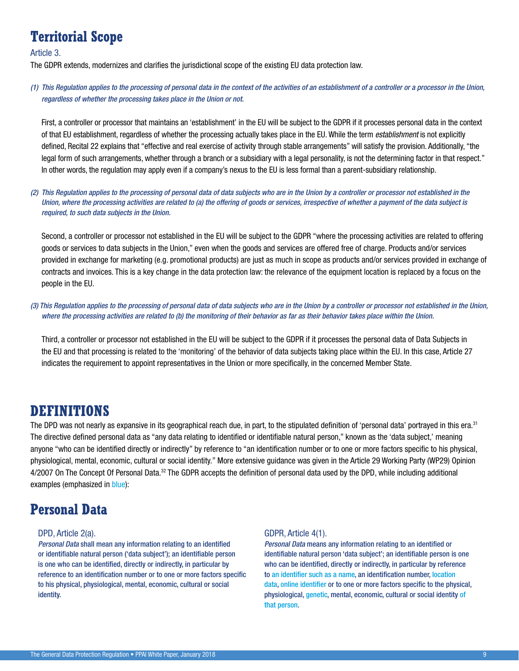## **Territorial Scope**

Article 3.

The GDPR extends, modernizes and clarifies the jurisdictional scope of the existing EU data protection law.

*(1) This Regulation applies to the processing of personal data in the context of the activities of an establishment of a controller or a processor in the Union, regardless of whether the processing takes place in the Union or not.*

First, a controller or processor that maintains an 'establishment' in the EU will be subject to the GDPR if it processes personal data in the context of that EU establishment, regardless of whether the processing actually takes place in the EU. While the term *establishment* is not explicitly defined, Recital 22 explains that "effective and real exercise of activity through stable arrangements" will satisfy the provision. Additionally, "the legal form of such arrangements, whether through a branch or a subsidiary with a legal personality, is not the determining factor in that respect." In other words, the regulation may apply even if a company's nexus to the EU is less formal than a parent-subsidiary relationship.

*(2) This Regulation applies to the processing of personal data of data subjects who are in the Union by a controller or processor not established in the Union, where the processing activities are related to (a) the offering of goods or services, irrespective of whether a payment of the data subject is required, to such data subjects in the Union.*

Second, a controller or processor not established in the EU will be subject to the GDPR "where the processing activities are related to offering goods or services to data subjects in the Union," even when the goods and services are offered free of charge. Products and/or services provided in exchange for marketing (e.g. promotional products) are just as much in scope as products and/or services provided in exchange of contracts and invoices. This is a key change in the data protection law: the relevance of the equipment location is replaced by a focus on the people in the EU.

*(3) This Regulation applies to the processing of personal data of data subjects who are in the Union by a controller or processor not established in the Union, where the processing activities are related to (b) the monitoring of their behavior as far as their behavior takes place within the Union.*

Third, a controller or processor not established in the EU will be subject to the GDPR if it processes the personal data of Data Subjects in the EU and that processing is related to the 'monitoring' of the behavior of data subjects taking place within the EU. In this case, Article 27 indicates the requirement to appoint representatives in the Union or more specifically, in the concerned Member State.

### **DEFINITIONS**

The DPD was not nearly as expansive in its geographical reach due, in part, to the stipulated definition of 'personal data' portrayed in this era.<sup>31</sup> The directive defined personal data as "any data relating to identified or identifiable natural person," known as the 'data subject,' meaning anyone "who can be identified directly or indirectly" by reference to "an identification number or to one or more factors specific to his physical, physiological, mental, economic, cultural or social identity." More extensive guidance was given in the Article 29 Working Party (WP29) Opinion 4/2007 On The Concept Of Personal Data.<sup>32</sup> The GDPR accepts the definition of personal data used by the DPD, while including additional examples (emphasized in blue):

## **Personal Data**

#### DPD, Article 2(a).

*Personal Data* shall mean any information relating to an identified or identifiable natural person ('data subject'); an identifiable person is one who can be identified, directly or indirectly, in particular by reference to an identification number or to one or more factors specific to his physical, physiological, mental, economic, cultural or social identity.

#### GDPR, Article 4(1).

*Personal Data* means any information relating to an identified or identifiable natural person 'data subject'; an identifiable person is one who can be identified, directly or indirectly, in particular by reference to an identifier such as a name, an identification number, location data, online identifier or to one or more factors specific to the physical, physiological, genetic, mental, economic, cultural or social identity of that person.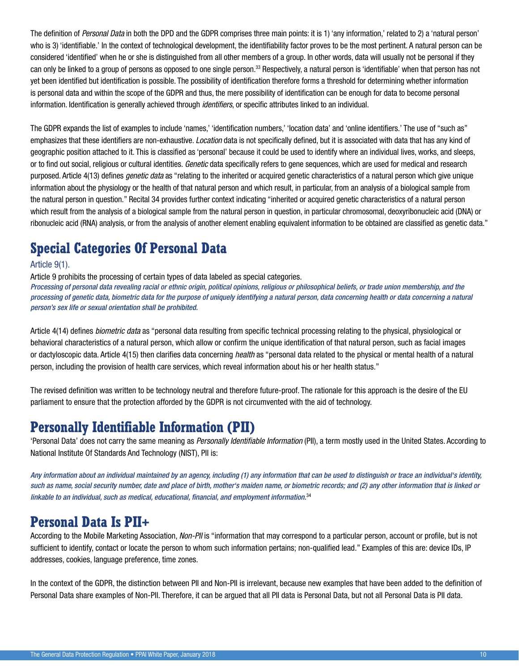The definition of *Personal Data* in both the DPD and the GDPR comprises three main points: it is 1) 'any information,' related to 2) a 'natural person' who is 3) 'identifiable.' In the context of technological development, the identifiability factor proves to be the most pertinent. A natural person can be considered 'identified' when he or she is distinguished from all other members of a group. In other words, data will usually not be personal if they can only be linked to a group of persons as opposed to one single person.<sup>33</sup> Respectively, a natural person is 'identifiable' when that person has not yet been identified but identification is possible. The possibility of identification therefore forms a threshold for determining whether information is personal data and within the scope of the GDPR and thus, the mere possibility of identification can be enough for data to become personal information. Identification is generally achieved through *identifiers*, or specific attributes linked to an individual.

The GDPR expands the list of examples to include 'names,' 'identification numbers,' 'location data' and 'online identifiers.' The use of "such as" emphasizes that these identifiers are non-exhaustive. *Location* data is not specifically defined, but it is associated with data that has any kind of geographic position attached to it. This is classified as 'personal' because it could be used to identify where an individual lives, works, and sleeps, or to find out social, religious or cultural identities. *Genetic* data specifically refers to gene sequences, which are used for medical and research purposed. Article 4(13) defines *genetic data* as "relating to the inherited or acquired genetic characteristics of a natural person which give unique information about the physiology or the health of that natural person and which result, in particular, from an analysis of a biological sample from the natural person in question." Recital 34 provides further context indicating "inherited or acquired genetic characteristics of a natural person which result from the analysis of a biological sample from the natural person in question, in particular chromosomal, deoxyribonucleic acid (DNA) or ribonucleic acid (RNA) analysis, or from the analysis of another element enabling equivalent information to be obtained are classified as genetic data."

## **Special Categories Of Personal Data**

#### Article 9(1).

Article 9 prohibits the processing of certain types of data labeled as special categories.

*Processing of personal data revealing racial or ethnic origin, political opinions, religious or philosophical beliefs, or trade union membership, and the processing of genetic data, biometric data for the purpose of uniquely identifying a natural person, data concerning health or data concerning a natural person's sex life or sexual orientation shall be prohibited.*

Article 4(14) defines *biometric data* as "personal data resulting from specific technical processing relating to the physical, physiological or behavioral characteristics of a natural person, which allow or confirm the unique identification of that natural person, such as facial images or dactyloscopic data. Article 4(15) then clarifies data concerning *health* as "personal data related to the physical or mental health of a natural person, including the provision of health care services, which reveal information about his or her health status."

The revised definition was written to be technology neutral and therefore future-proof. The rationale for this approach is the desire of the EU parliament to ensure that the protection afforded by the GDPR is not circumvented with the aid of technology.

## **Personally Identifiable Information (PII)**

'Personal Data' does not carry the same meaning as *Personally Identifiable Information* (PII), a term mostly used in the United States. According to National Institute Of Standards And Technology (NIST), PII is:

*Any information about an individual maintained by an agency, including (1) any information that can be used to distinguish or trace an individual's identity, such as name, social security number, date and place of birth, mother's maiden name, or biometric records; and (2) any other information that is linked or linkable to an individual, such as medical, educational, financial, and employment information.*<sup>34</sup>

### **Personal Data Is PII+**

According to the Mobile Marketing Association, *Non-PII* is "information that may correspond to a particular person, account or profile, but is not sufficient to identify, contact or locate the person to whom such information pertains; non-qualified lead." Examples of this are: device IDs, IP addresses, cookies, language preference, time zones.

In the context of the GDPR, the distinction between PII and Non-PII is irrelevant, because new examples that have been added to the definition of Personal Data share examples of Non-PII. Therefore, it can be argued that all PII data is Personal Data, but not all Personal Data is PII data.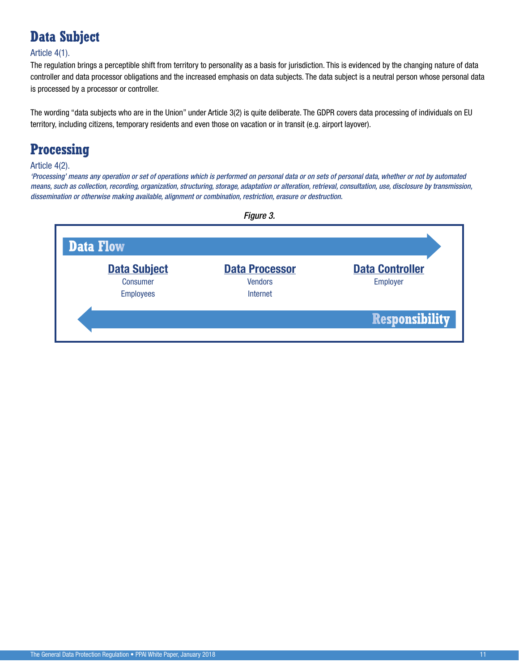## **Data Subject**

#### Article 4(1).

The regulation brings a perceptible shift from territory to personality as a basis for jurisdiction. This is evidenced by the changing nature of data controller and data processor obligations and the increased emphasis on data subjects. The data subject is a neutral person whose personal data is processed by a processor or controller.

The wording "data subjects who are in the Union" under Article 3(2) is quite deliberate. The GDPR covers data processing of individuals on EU territory, including citizens, temporary residents and even those on vacation or in transit (e.g. airport layover).

## **Processing**

#### Article 4(2).

*'Processing' means any operation or set of operations which is performed on personal data or on sets of personal data, whether or not by automated means, such as collection, recording, organization, structuring, storage, adaptation or alteration, retrieval, consultation, use, disclosure by transmission, dissemination or otherwise making available, alignment or combination, restriction, erasure or destruction.*

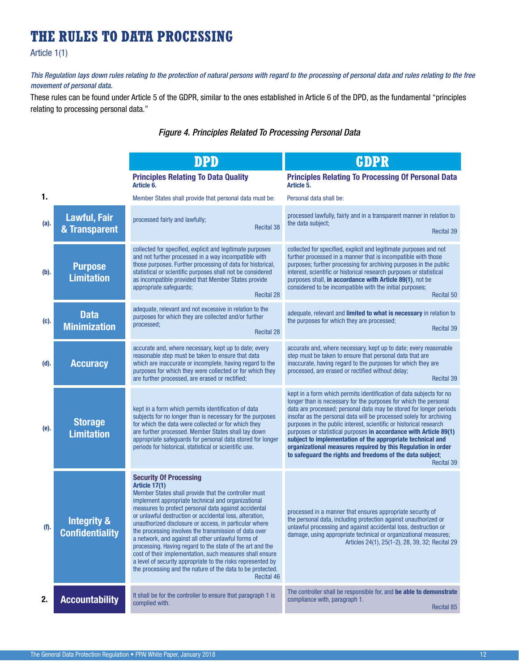## **THE RULES TO DATA PROCESSING**

Article 1(1)

*This Regulation lays down rules relating to the protection of natural persons with regard to the processing of personal data and rules relating to the free movement of personal data.*

These rules can be found under Article 5 of the GDPR, similar to the ones established in Article 6 of the DPD, as the fundamental "principles relating to processing personal data."

#### **DPD GDPR** Principles Relating To Data Quality Article 6. Principles Relating To Processing Of Personal Data Article 5. 1. **1.** Member States shall provide that personal data must be: Personal data shall be: (a). Lawful, Fair & Transparent processed fairly and lawfully; Recital 38 processed lawfully, fairly and in a transparent manner in relation to the data subject; Recital 39 (b). Purpose Limitation collected for specified, explicit and legitimate purposes and not further processed in a way incompatible with those purposes. Further processing of data for historical, statistical or scientific purposes shall not be considered as incompatible provided that Member States provide appropriate safeguards; Recital 28 collected for specified, explicit and legitimate purposes and not further processed in a manner that is incompatible with those purposes; further processing for archiving purposes in the public interest, scientific or historical research purposes or statistical purposes shall, in accordance with Article 89(1), not be considered to be incompatible with the initial purposes; Recital 50 (c). Data **Minimization** adequate, relevant and not excessive in relation to the purposes for which they are collected and/or further processed; Recital 28 adequate, relevant and limited to what is necessary in relation to the purposes for which they are processed; Recital 39 (d). Accuracy accurate and, where necessary, kept up to date; every reasonable step must be taken to ensure that data which are inaccurate or incomplete, having regard to the purposes for which they were collected or for which they are further processed, are erased or rectified; accurate and, where necessary, kept up to date; every reasonable step must be taken to ensure that personal data that are inaccurate, having regard to the purposes for which they are processed, are erased or rectified without delay; Recital 39 (e). Storage Limitation kept in a form which permits identification of data subjects for no longer than is necessary for the purposes for which the data were collected or for which they are further processed. Member States shall lay down appropriate safeguards for personal data stored for longer periods for historical, statistical or scientific use. kept in a form which permits identification of data subjects for no longer than is necessary for the purposes for which the personal data are processed; personal data may be stored for longer periods insofar as the personal data will be processed solely for archiving purposes in the public interest, scientific or historical research purposes or statistical purposes in accordance with Article 89(1) subject to implementation of the appropriate technical and organizational measures required by this Regulation in order to safeguard the rights and freedoms of the data subject; Recital 39  $\begin{array}{c|c}\n\text{f.} & \text{Integrity 8.}\n\end{array}$ **Confidentiality** Security Of Processing Article 17(1) Member States shall provide that the controller must implement appropriate technical and organizational measures to protect personal data against accidental or unlawful destruction or accidental loss, alteration, unauthorized disclosure or access, in particular where the processing involves the transmission of data over a network, and against all other unlawful forms of processing. Having regard to the state of the art and the cost of their implementation, such measures shall ensure a level of security appropriate to the risks represented by the processing and the nature of the data to be protected. Recital 46 processed in a manner that ensures appropriate security of the personal data, including protection against unauthorized or unlawful processing and against accidental loss, destruction or damage, using appropriate technical or organizational measures; Articles 24(1), 25(1-2), 28, 39, 32; Recital 29 **2.** Accountability  $\begin{bmatrix} 1 \text{t shall be for the controller to ensure that paragraph 1 is complete with  $\frac{1}{2}$$ complied with. The controller shall be responsible for, and be able to demonstrate compliance with, paragraph 1.

#### *Figure 4. Principles Related To Processing Personal Data*

Recital 85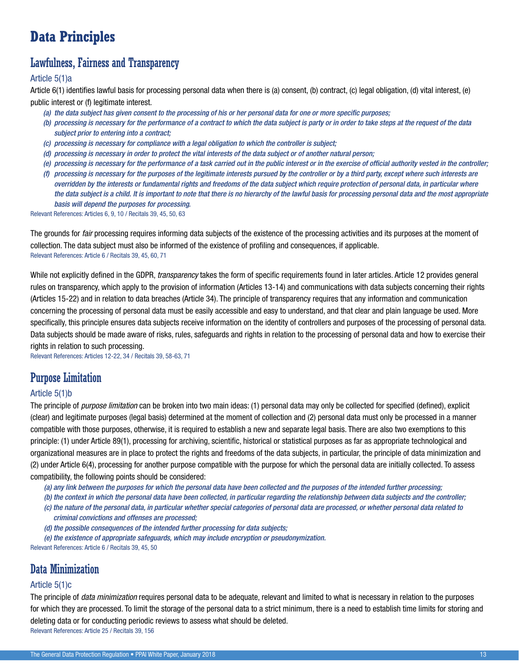## **Data Principles**

#### Lawfulness, Fairness and Transparency

#### Article 5(1)a

Article 6(1) identifies lawful basis for processing personal data when there is (a) consent, (b) contract, (c) legal obligation, (d) vital interest, (e) public interest or (f) legitimate interest.

- *(a) the data subject has given consent to the processing of his or her personal data for one or more specific purposes;*
- *(b) processing is necessary for the performance of a contract to which the data subject is party or in order to take steps at the request of the data subject prior to entering into a contract;*
- *(c) processing is necessary for compliance with a legal obligation to which the controller is subject;*
- *(d) processing is necessary in order to protect the vital interests of the data subject or of another natural person;*
- *(e) processing is necessary for the performance of a task carried out in the public interest or in the exercise of official authority vested in the controller;*
- *(f) processing is necessary for the purposes of the legitimate interests pursued by the controller or by a third party, except where such interests are overridden by the interests or fundamental rights and freedoms of the data subject which require protection of personal data, in particular where the data subject is a child. It is important to note that there is no hierarchy of the lawful basis for processing personal data and the most appropriate basis will depend the purposes for processing.*

Relevant References: Articles 6, 9, 10 / Recitals 39, 45, 50, 63

The grounds for *fair* processing requires informing data subjects of the existence of the processing activities and its purposes at the moment of collection. The data subject must also be informed of the existence of profiling and consequences, if applicable. Relevant References: Article 6 / Recitals 39, 45, 60, 71

While not explicitly defined in the GDPR, *transparency* takes the form of specific requirements found in later articles. Article 12 provides general rules on transparency, which apply to the provision of information (Articles 13-14) and communications with data subjects concerning their rights (Articles 15-22) and in relation to data breaches (Article 34). The principle of transparency requires that any information and communication concerning the processing of personal data must be easily accessible and easy to understand, and that clear and plain language be used. More specifically, this principle ensures data subjects receive information on the identity of controllers and purposes of the processing of personal data. Data subjects should be made aware of risks, rules, safeguards and rights in relation to the processing of personal data and how to exercise their rights in relation to such processing.

Relevant References: Articles 12-22, 34 / Recitals 39, 58-63, 71

#### Purpose Limitation

#### Article 5(1)b

The principle of *purpose limitation* can be broken into two main ideas: (1) personal data may only be collected for specified (defined), explicit (clear) and legitimate purposes (legal basis) determined at the moment of collection and (2) personal data must only be processed in a manner compatible with those purposes, otherwise, it is required to establish a new and separate legal basis. There are also two exemptions to this principle: (1) under Article 89(1), processing for archiving, scientific, historical or statistical purposes as far as appropriate technological and organizational measures are in place to protect the rights and freedoms of the data subjects, in particular, the principle of data minimization and (2) under Article 6(4), processing for another purpose compatible with the purpose for which the personal data are initially collected. To assess compatibility, the following points should be considered:

- *(a) any link between the purposes for which the personal data have been collected and the purposes of the intended further processing;*
- *(b) the context in which the personal data have been collected, in particular regarding the relationship between data subjects and the controller;*
- *(c) the nature of the personal data, in particular whether special categories of personal data are processed, or whether personal data related to criminal convictions and offenses are processed;*
- *(d) the possible consequences of the intended further processing for data subjects;*
- *(e) the existence of appropriate safeguards, which may include encryption or pseudonymization.*

Relevant References: Article 6 / Recitals 39, 45, 50

#### Data Minimization

#### Article 5(1)c

The principle of *data minimization* requires personal data to be adequate, relevant and limited to what is necessary in relation to the purposes for which they are processed. To limit the storage of the personal data to a strict minimum, there is a need to establish time limits for storing and deleting data or for conducting periodic reviews to assess what should be deleted.

Relevant References: Article 25 / Recitals 39, 156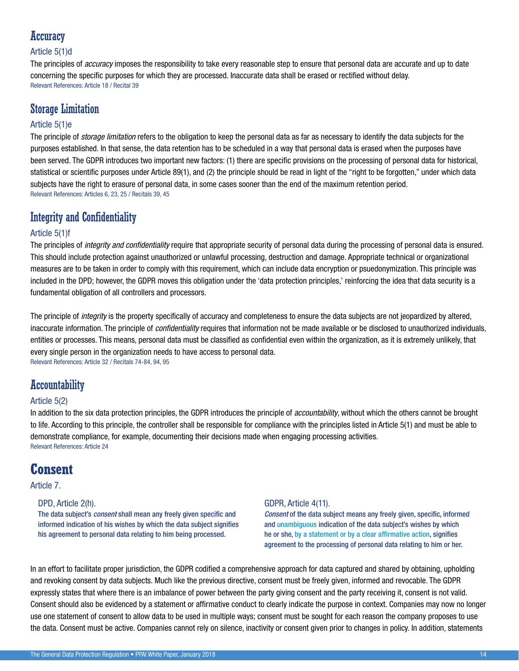#### **Accuracy**

#### Article 5(1)d

The principles of *accuracy* imposes the responsibility to take every reasonable step to ensure that personal data are accurate and up to date concerning the specific purposes for which they are processed. Inaccurate data shall be erased or rectified without delay. Relevant References: Article 18 / Recital 39

#### Storage Limitation

#### Article 5(1)e

The principle of *storage limitation* refers to the obligation to keep the personal data as far as necessary to identify the data subjects for the purposes established. In that sense, the data retention has to be scheduled in a way that personal data is erased when the purposes have been served. The GDPR introduces two important new factors: (1) there are specific provisions on the processing of personal data for historical, statistical or scientific purposes under Article 89(1), and (2) the principle should be read in light of the "right to be forgotten," under which data subjects have the right to erasure of personal data, in some cases sooner than the end of the maximum retention period. Relevant References: Articles 6, 23, 25 / Recitals 39, 45

#### Integrity and Confidentiality

#### Article 5(1)f

The principles of *integrity and confidentiality* require that appropriate security of personal data during the processing of personal data is ensured. This should include protection against unauthorized or unlawful processing, destruction and damage. Appropriate technical or organizational measures are to be taken in order to comply with this requirement, which can include data encryption or psuedonymization. This principle was included in the DPD; however, the GDPR moves this obligation under the 'data protection principles,' reinforcing the idea that data security is a fundamental obligation of all controllers and processors.

The principle of *integrity* is the property specifically of accuracy and completeness to ensure the data subjects are not jeopardized by altered, inaccurate information. The principle of *confidentiality* requires that information not be made available or be disclosed to unauthorized individuals, entities or processes. This means, personal data must be classified as confidential even within the organization, as it is extremely unlikely, that every single person in the organization needs to have access to personal data. Relevant References: Article 32 / Recitals 74-84, 94, 95

#### **Accountability**

#### Article 5(2)

In addition to the six data protection principles, the GDPR introduces the principle of *accountability*, without which the others cannot be brought to life. According to this principle, the controller shall be responsible for compliance with the principles listed in Article 5(1) and must be able to demonstrate compliance, for example, documenting their decisions made when engaging processing activities. Relevant References: Article 24

### **Consent**

#### Article 7.

#### DPD, Article 2(h).

The data subject's *consent* shall mean any freely given specific and informed indication of his wishes by which the data subject signifies his agreement to personal data relating to him being processed.

GDPR, Article 4(11).

*Consent* of the data subject means any freely given, specific, informed and unambiguous indication of the data subject's wishes by which he or she, by a statement or by a clear affirmative action, signifies agreement to the processing of personal data relating to him or her.

In an effort to facilitate proper jurisdiction, the GDPR codified a comprehensive approach for data captured and shared by obtaining, upholding and revoking consent by data subjects. Much like the previous directive, consent must be freely given, informed and revocable. The GDPR expressly states that where there is an imbalance of power between the party giving consent and the party receiving it, consent is not valid. Consent should also be evidenced by a statement or affirmative conduct to clearly indicate the purpose in context. Companies may now no longer use one statement of consent to allow data to be used in multiple ways; consent must be sought for each reason the company proposes to use the data. Consent must be active. Companies cannot rely on silence, inactivity or consent given prior to changes in policy. In addition, statements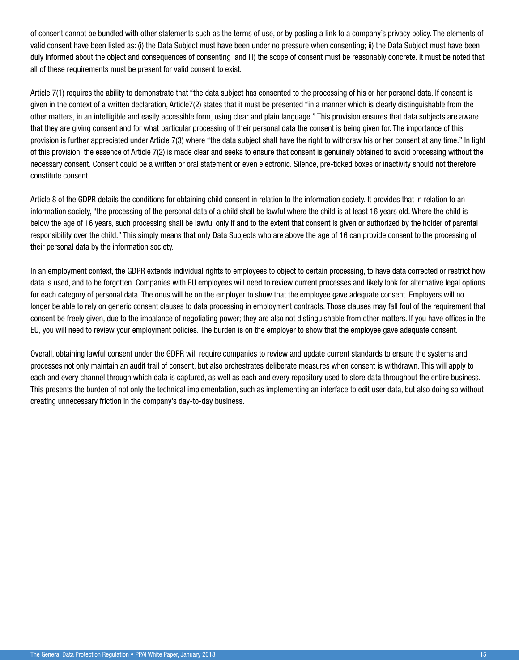of consent cannot be bundled with other statements such as the terms of use, or by posting a link to a company's privacy policy. The elements of valid consent have been listed as: (i) the Data Subject must have been under no pressure when consenting; ii) the Data Subject must have been duly informed about the object and consequences of consenting and iii) the scope of consent must be reasonably concrete. It must be noted that all of these requirements must be present for valid consent to exist.

Article 7(1) requires the ability to demonstrate that "the data subject has consented to the processing of his or her personal data. If consent is given in the context of a written declaration, Article7(2) states that it must be presented "in a manner which is clearly distinguishable from the other matters, in an intelligible and easily accessible form, using clear and plain language." This provision ensures that data subjects are aware that they are giving consent and for what particular processing of their personal data the consent is being given for. The importance of this provision is further appreciated under Article 7(3) where "the data subject shall have the right to withdraw his or her consent at any time." In light of this provision, the essence of Article 7(2) is made clear and seeks to ensure that consent is genuinely obtained to avoid processing without the necessary consent. Consent could be a written or oral statement or even electronic. Silence, pre-ticked boxes or inactivity should not therefore constitute consent.

Article 8 of the GDPR details the conditions for obtaining child consent in relation to the information society. It provides that in relation to an information society, "the processing of the personal data of a child shall be lawful where the child is at least 16 years old. Where the child is below the age of 16 years, such processing shall be lawful only if and to the extent that consent is given or authorized by the holder of parental responsibility over the child." This simply means that only Data Subjects who are above the age of 16 can provide consent to the processing of their personal data by the information society.

In an employment context, the GDPR extends individual rights to employees to object to certain processing, to have data corrected or restrict how data is used, and to be forgotten. Companies with EU employees will need to review current processes and likely look for alternative legal options for each category of personal data. The onus will be on the employer to show that the employee gave adequate consent. Employers will no longer be able to rely on generic consent clauses to data processing in employment contracts. Those clauses may fall foul of the requirement that consent be freely given, due to the imbalance of negotiating power; they are also not distinguishable from other matters. If you have offices in the EU, you will need to review your employment policies. The burden is on the employer to show that the employee gave adequate consent.

Overall, obtaining lawful consent under the GDPR will require companies to review and update current standards to ensure the systems and processes not only maintain an audit trail of consent, but also orchestrates deliberate measures when consent is withdrawn. This will apply to each and every channel through which data is captured, as well as each and every repository used to store data throughout the entire business. This presents the burden of not only the technical implementation, such as implementing an interface to edit user data, but also doing so without creating unnecessary friction in the company's day-to-day business.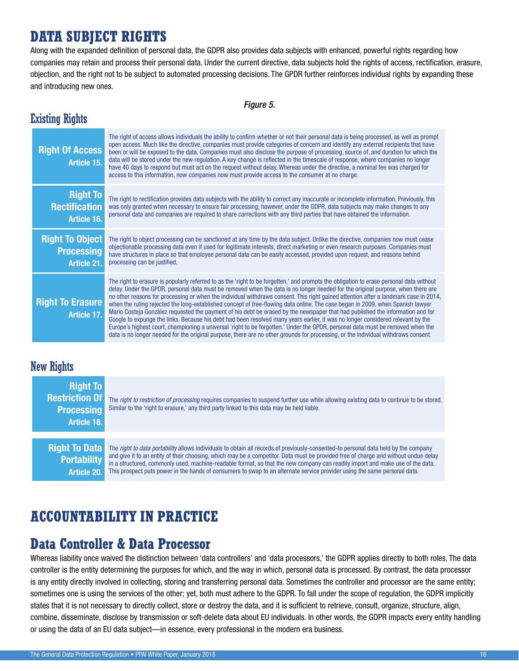## **DATA SUBJECT RIGHTS**

Along with the expanded definition of personal data, the GDPR also provides data subjects with enhanced, powerful rights regarding how companies may retain and process their personal data. Under the current directive, data subjects hold the rights of access, rectification, erasure, objection, and the right not to be subject to automated processing decisions. The GPDR further reinforces individual rights by expanding these and introducing new ones.

#### *Figure 5.*

#### Existing Rights

| <b>Right Of Access</b><br>Article 15.                      | The right of access allows individuals the ability to confirm whether or not their personal data is being processed, as well as prompt<br>open access. Much like the directive, companies must provide categories of concern and identify any external recipients that have<br>been or will be exposed to the data. Companies must also disclose the purpose of processing, source of, and duration for which the<br>data will be stored under the new regulation. A key change is reflected in the timescale of response, where companies no longer<br>have 40 days to respond but must act on the request without delay. Whereas under the directive, a nominal fee was charged for<br>access to this information, now companies now must provide access to the consumer at no charge.                                                                                                                                                                                                                                                                                                           |
|------------------------------------------------------------|----------------------------------------------------------------------------------------------------------------------------------------------------------------------------------------------------------------------------------------------------------------------------------------------------------------------------------------------------------------------------------------------------------------------------------------------------------------------------------------------------------------------------------------------------------------------------------------------------------------------------------------------------------------------------------------------------------------------------------------------------------------------------------------------------------------------------------------------------------------------------------------------------------------------------------------------------------------------------------------------------------------------------------------------------------------------------------------------------|
| <b>Right To</b><br><b>Rectification</b><br>Article 16.     | The right to rectification provides data subjects with the ability to correct any inaccurate or incomplete information. Previously, this<br>was only granted when necessary to ensure fair processing; however, under the GDPR, data subjects may make changes to any<br>personal data and companies are required to share corrections with any third parties that have obtained the information.                                                                                                                                                                                                                                                                                                                                                                                                                                                                                                                                                                                                                                                                                                  |
| <b>Right To Object</b><br><b>Processing</b><br>Article 21. | The right to object processing can be sanctioned at any time by the data subject. Unlike the directive, companies now must cease<br>objectionable processing data even if used for legitimate interests, direct marketing or even research purposes. Companies must<br>have structures in place so that employee personal data can be easily accessed, provided upon request, and reasons behind<br>processing can be justified.                                                                                                                                                                                                                                                                                                                                                                                                                                                                                                                                                                                                                                                                   |
| <b>Right To Erasure</b><br>Article 17.                     | The right to erasure is popularly referred to as the 'right to be forgotten,' and prompts the obligation to erase personal data without<br>delay. Under the GPDR, personal data must be removed when the data is no longer needed for the original purpose, when there are<br>no other reasons for processing or when the individual withdraws consent. This right gained attention after a landmark case in 2014,<br>when the ruling rejected the long-established concept of free-flowing data online. The case began in 2009, when Spanish lawyer<br>Mario Costeja Gonzàlez requested the payment of his debt be erased by the newspaper that had published the information and for<br>Google to expunge the links. Because his debt had been resolved many years earlier, it was no longer considered relevant by the<br>Europe's highest court, championing a universal 'right to be forgotten.' Under the GPDR, personal data must be removed when the<br>data is no longer needed for the original purpose, there are no other grounds for processing, or the individual withdraws consent. |

#### New Rights

| <b>Right To</b><br><b>Restriction Of</b><br><b>Processing</b><br>Article 18. | The right to restriction of processing requires companies to suspend further use while allowing existing data to continue to be stored.<br>Similar to the 'right to erasure,' any third party linked to this data may be held liable.                                                                                                                                                                                                                                                                                                           |
|------------------------------------------------------------------------------|-------------------------------------------------------------------------------------------------------------------------------------------------------------------------------------------------------------------------------------------------------------------------------------------------------------------------------------------------------------------------------------------------------------------------------------------------------------------------------------------------------------------------------------------------|
| <b>Right To Data</b><br><b>Portability</b><br><b>Article 20.</b>             | The <i>right to data portability</i> allows individuals to obtain all records of previously-consented-to personal data held by the company<br>and give it to an entity of their choosing, which may be a competitor. Data must be provided free of charge and without undue delay<br>in a structured, commonly used, machine-readable format, so that the new company can readily import and make use of the data.<br>This prospect puts power in the hands of consumers to swap to an alternate service provider using the same personal data. |

## **ACCOUNTABILITY IN PRACTICE**

### **Data Controller & Data Processor**

Whereas liability once waived the distinction between 'data controllers' and 'data processors,' the GDPR applies directly to both roles. The data controller is the entity determining the purposes for which, and the way in which, personal data is processed. By contrast, the data processor is any entity directly involved in collecting, storing and transferring personal data. Sometimes the controller and processor are the same entity; sometimes one is using the services of the other; yet, both must adhere to the GDPR. To fall under the scope of regulation, the GDPR implicitly states that it is not necessary to directly collect, store or destroy the data, and it is sufficient to retrieve, consult, organize, structure, align, combine, disseminate, disclose by transmission or soft-delete data about EU individuals. In other words, the GDPR impacts every entity handling or using the data of an EU data subject—in essence, every professional in the modern era business.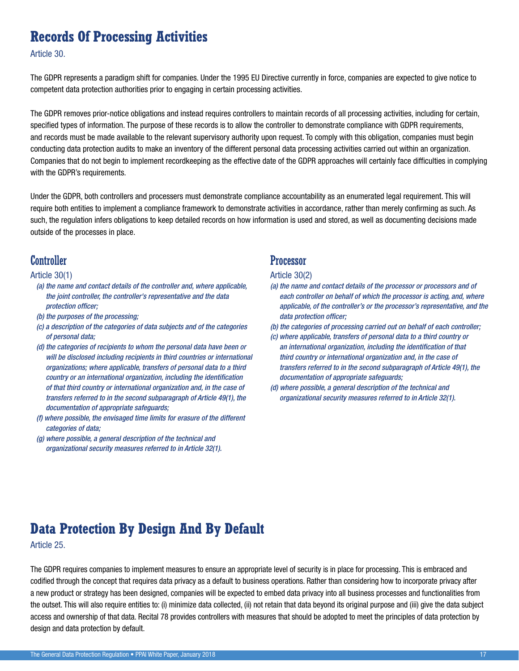## **Records Of Processing Activities**

Article 30.

The GDPR represents a paradigm shift for companies. Under the 1995 EU Directive currently in force, companies are expected to give notice to competent data protection authorities prior to engaging in certain processing activities.

The GDPR removes prior-notice obligations and instead requires controllers to maintain records of all processing activities, including for certain, specified types of information. The purpose of these records is to allow the controller to demonstrate compliance with GDPR requirements, and records must be made available to the relevant supervisory authority upon request. To comply with this obligation, companies must begin conducting data protection audits to make an inventory of the different personal data processing activities carried out within an organization. Companies that do not begin to implement recordkeeping as the effective date of the GDPR approaches will certainly face difficulties in complying with the GDPR's requirements.

Under the GDPR, both controllers and processers must demonstrate compliance accountability as an enumerated legal requirement. This will require both entities to implement a compliance framework to demonstrate activities in accordance, rather than merely confirming as such. As such, the regulation infers obligations to keep detailed records on how information is used and stored, as well as documenting decisions made outside of the processes in place.

#### **Controller**

#### Article 30(1)

- *(a) the name and contact details of the controller and, where applicable, the joint controller, the controller's representative and the data protection officer;*
- *(b) the purposes of the processing;*
- *(c) a description of the categories of data subjects and of the categories of personal data;*
- *(d) the categories of recipients to whom the personal data have been or will be disclosed including recipients in third countries or international organizations; where applicable, transfers of personal data to a third country or an international organization, including the identification of that third country or international organization and, in the case of transfers referred to in the second subparagraph of Article 49(1), the documentation of appropriate safeguards;*
- *(f) where possible, the envisaged time limits for erasure of the different categories of data;*
- *(g) where possible, a general description of the technical and organizational security measures referred to in Article 32(1).*

#### Processor

#### Article 30(2)

- *(a) the name and contact details of the processor or processors and of each controller on behalf of which the processor is acting, and, where applicable, of the controller's or the processor's representative, and the data protection officer;*
- *(b) the categories of processing carried out on behalf of each controller;*
- *(c) where applicable, transfers of personal data to a third country or an international organization, including the identification of that third country or international organization and, in the case of transfers referred to in the second subparagraph of Article 49(1), the documentation of appropriate safeguards;*
- *(d) where possible, a general description of the technical and organizational security measures referred to in Article 32(1).*

## **Data Protection By Design And By Default**

Article 25.

The GDPR requires companies to implement measures to ensure an appropriate level of security is in place for processing. This is embraced and codified through the concept that requires data privacy as a default to business operations. Rather than considering how to incorporate privacy after a new product or strategy has been designed, companies will be expected to embed data privacy into all business processes and functionalities from the outset. This will also require entities to: (i) minimize data collected, (ii) not retain that data beyond its original purpose and (iii) give the data subject access and ownership of that data. Recital 78 provides controllers with measures that should be adopted to meet the principles of data protection by design and data protection by default.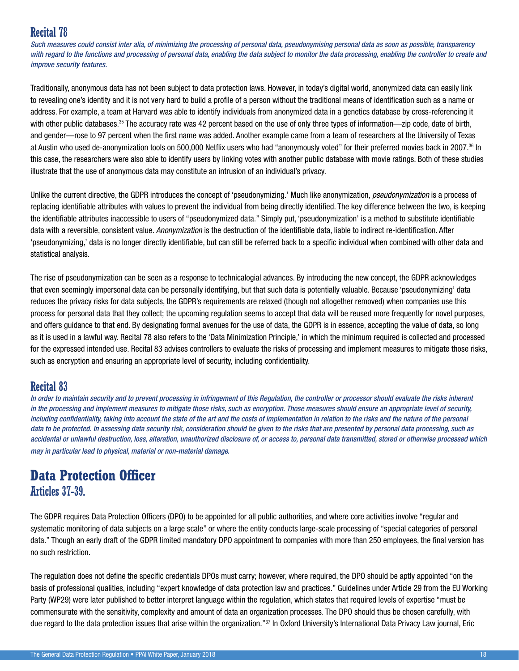### Recital 78

*Such measures could consist inter alia, of minimizing the processing of personal data, pseudonymising personal data as soon as possible, transparency*  with regard to the functions and processing of personal data, enabling the data subject to monitor the data processing, enabling the controller to create and *improve security features.*

Traditionally, anonymous data has not been subject to data protection laws. However, in today's digital world, anonymized data can easily link to revealing one's identity and it is not very hard to build a profile of a person without the traditional means of identification such as a name or address. For example, a team at Harvard was able to identify individuals from anonymized data in a genetics database by cross-referencing it with other public databases.<sup>35</sup> The accuracy rate was 42 percent based on the use of only three types of information—zip code, date of birth, and gender—rose to 97 percent when the first name was added. Another example came from a team of researchers at the University of Texas at Austin who used de-anonymization tools on 500,000 Netflix users who had "anonymously voted" for their preferred movies back in 2007.36 In this case, the researchers were also able to identify users by linking votes with another public database with movie ratings. Both of these studies illustrate that the use of anonymous data may constitute an intrusion of an individual's privacy.

Unlike the current directive, the GDPR introduces the concept of 'pseudonymizing.' Much like anonymization, *pseudonymization* is a process of replacing identifiable attributes with values to prevent the individual from being directly identified. The key difference between the two, is keeping the identifiable attributes inaccessible to users of "pseudonymized data." Simply put, 'pseudonymization' is a method to substitute identifiable data with a reversible, consistent value. *Anonymization* is the destruction of the identifiable data, liable to indirect re-identification. After 'pseudonymizing,' data is no longer directly identifiable, but can still be referred back to a specific individual when combined with other data and statistical analysis.

The rise of pseudonymization can be seen as a response to technicalogial advances. By introducing the new concept, the GDPR acknowledges that even seemingly impersonal data can be personally identifying, but that such data is potentially valuable. Because 'pseudonymizing' data reduces the privacy risks for data subjects, the GDPR's requirements are relaxed (though not altogether removed) when companies use this process for personal data that they collect; the upcoming regulation seems to accept that data will be reused more frequently for novel purposes, and offers guidance to that end. By designating formal avenues for the use of data, the GDPR is in essence, accepting the value of data, so long as it is used in a lawful way. Recital 78 also refers to the 'Data Minimization Principle,' in which the minimum required is collected and processed for the expressed intended use. Recital 83 advises controllers to evaluate the risks of processing and implement measures to mitigate those risks, such as encryption and ensuring an appropriate level of security, including confidentiality.

#### Recital 83

*In order to maintain security and to prevent processing in infringement of this Regulation, the controller or processor should evaluate the risks inherent in the processing and implement measures to mitigate those risks, such as encryption. Those measures should ensure an appropriate level of security, including confidentiality, taking into account the state of the art and the costs of implementation in relation to the risks and the nature of the personal*  data to be protected. In assessing data security risk, consideration should be given to the risks that are presented by personal data processing, such as *accidental or unlawful destruction, loss, alteration, unauthorized disclosure of, or access to, personal data transmitted, stored or otherwise processed which may in particular lead to physical, material or non-material damage.*

## **Data Protection Officer** Articles 37-39.

The GDPR requires Data Protection Officers (DPO) to be appointed for all public authorities, and where core activities involve "regular and systematic monitoring of data subjects on a large scale" or where the entity conducts large-scale processing of "special categories of personal data." Though an early draft of the GDPR limited mandatory DPO appointment to companies with more than 250 employees, the final version has no such restriction.

The regulation does not define the specific credentials DPOs must carry; however, where required, the DPO should be aptly appointed "on the basis of professional qualities, including "expert knowledge of data protection law and practices." Guidelines under Article 29 from the EU Working Party (WP29) were later published to better interpret language within the regulation, which states that required levels of expertise "must be commensurate with the sensitivity, complexity and amount of data an organization processes. The DPO should thus be chosen carefully, with due regard to the data protection issues that arise within the organization."37 In Oxford University's International Data Privacy Law journal, Eric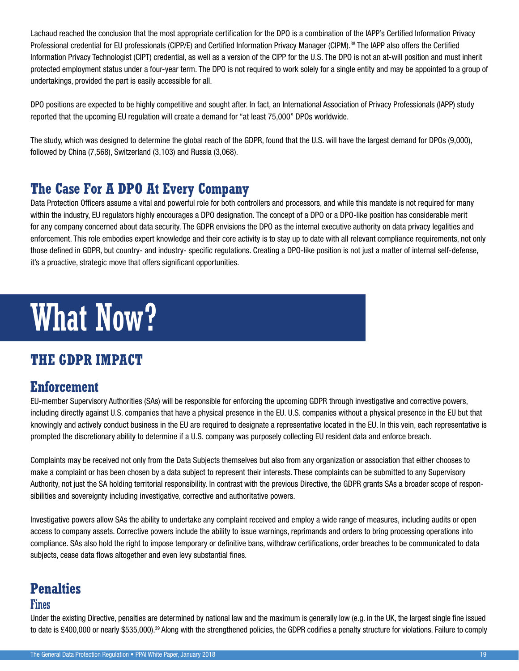Lachaud reached the conclusion that the most appropriate certification for the DPO is a combination of the IAPP's Certified Information Privacy Professional credential for EU professionals (CIPP/E) and Certified Information Privacy Manager (CIPM).38 The IAPP also offers the Certified Information Privacy Technologist (CIPT) credential, as well as a version of the CIPP for the U.S. The DPO is not an at-will position and must inherit protected employment status under a four-year term. The DPO is not required to work solely for a single entity and may be appointed to a group of undertakings, provided the part is easily accessible for all.

DPO positions are expected to be highly competitive and sought after. In fact, an International Association of Privacy Professionals (IAPP) study reported that the upcoming EU regulation will create a demand for "at least 75,000" DPOs worldwide.

The study, which was designed to determine the global reach of the GDPR, found that the U.S. will have the largest demand for DPOs (9,000), followed by China (7,568), Switzerland (3,103) and Russia (3,068).

## **The Case For A DPO At Every Company**

Data Protection Officers assume a vital and powerful role for both controllers and processors, and while this mandate is not required for many within the industry, EU regulators highly encourages a DPO designation. The concept of a DPO or a DPO-like position has considerable merit for any company concerned about data security. The GDPR envisions the DPO as the internal executive authority on data privacy legalities and enforcement. This role embodies expert knowledge and their core activity is to stay up to date with all relevant compliance requirements, not only those defined in GDPR, but country- and industry- specific regulations. Creating a DPO-like position is not just a matter of internal self-defense, it's a proactive, strategic move that offers significant opportunities.

# What Now?

## **THE GDPR IMPACT**

### **Enforcement**

EU-member Supervisory Authorities (SAs) will be responsible for enforcing the upcoming GDPR through investigative and corrective powers, including directly against U.S. companies that have a physical presence in the EU. U.S. companies without a physical presence in the EU but that knowingly and actively conduct business in the EU are required to designate a representative located in the EU. In this vein, each representative is prompted the discretionary ability to determine if a U.S. company was purposely collecting EU resident data and enforce breach.

Complaints may be received not only from the Data Subjects themselves but also from any organization or association that either chooses to make a complaint or has been chosen by a data subject to represent their interests. These complaints can be submitted to any Supervisory Authority, not just the SA holding territorial responsibility. In contrast with the previous Directive, the GDPR grants SAs a broader scope of responsibilities and sovereignty including investigative, corrective and authoritative powers.

Investigative powers allow SAs the ability to undertake any complaint received and employ a wide range of measures, including audits or open access to company assets. Corrective powers include the ability to issue warnings, reprimands and orders to bring processing operations into compliance. SAs also hold the right to impose temporary or definitive bans, withdraw certifications, order breaches to be communicated to data subjects, cease data flows altogether and even levy substantial fines.

## **Penalties**

#### Fines

Under the existing Directive, penalties are determined by national law and the maximum is generally low (e.g. in the UK, the largest single fine issued to date is £400,000 or nearly \$535,000).<sup>39</sup> Along with the strengthened policies, the GDPR codifies a penalty structure for violations. Failure to comply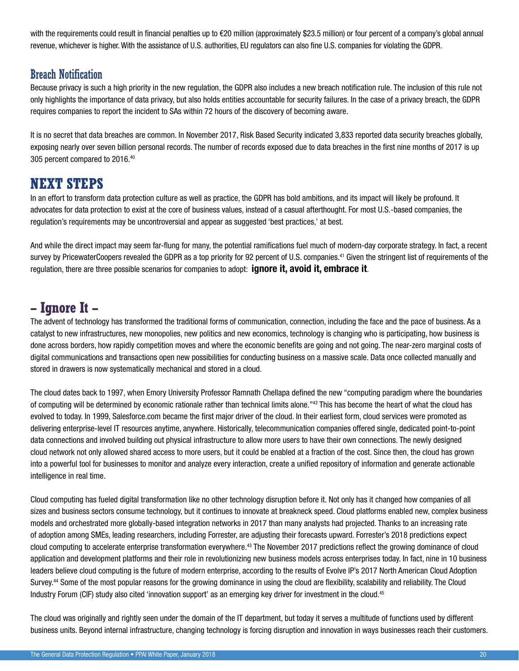with the requirements could result in financial penalties up to €20 million (approximately \$23.5 million) or four percent of a company's global annual revenue, whichever is higher. With the assistance of U.S. authorities, EU regulators can also fine U.S. companies for violating the GDPR.

#### Breach Notification

Because privacy is such a high priority in the new regulation, the GDPR also includes a new breach notification rule. The inclusion of this rule not only highlights the importance of data privacy, but also holds entities accountable for security failures. In the case of a privacy breach, the GDPR requires companies to report the incident to SAs within 72 hours of the discovery of becoming aware.

It is no secret that data breaches are common. In November 2017, Risk Based Security indicated 3,833 reported data security breaches globally, exposing nearly over seven billion personal records. The number of records exposed due to data breaches in the first nine months of 2017 is up 305 percent compared to 2016.40

## **NEXT STEPS**

In an effort to transform data protection culture as well as practice, the GDPR has bold ambitions, and its impact will likely be profound. It advocates for data protection to exist at the core of business values, instead of a casual afterthought. For most U.S.-based companies, the regulation's requirements may be uncontroversial and appear as suggested 'best practices,' at best.

And while the direct impact may seem far-flung for many, the potential ramifications fuel much of modern-day corporate strategy. In fact, a recent survey by PricewaterCoopers revealed the GDPR as a top priority for 92 percent of U.S. companies.<sup>41</sup> Given the stringent list of requirements of the regulation, there are three possible scenarios for companies to adopt: **ignore it, avoid it, embrace it**.

## **– Ignore It –**

The advent of technology has transformed the traditional forms of communication, connection, including the face and the pace of business. As a catalyst to new infrastructures, new monopolies, new politics and new economics, technology is changing who is participating, how business is done across borders, how rapidly competition moves and where the economic benefits are going and not going. The near-zero marginal costs of digital communications and transactions open new possibilities for conducting business on a massive scale. Data once collected manually and stored in drawers is now systematically mechanical and stored in a cloud.

The cloud dates back to 1997, when Emory University Professor Ramnath Chellapa defined the new "computing paradigm where the boundaries of computing will be determined by economic rationale rather than technical limits alone."42 This has become the heart of what the cloud has evolved to today. In 1999, Salesforce.com became the first major driver of the cloud. In their earliest form, cloud services were promoted as delivering enterprise-level IT resources anytime, anywhere. Historically, telecommunication companies offered single, dedicated point-to-point data connections and involved building out physical infrastructure to allow more users to have their own connections. The newly designed cloud network not only allowed shared access to more users, but it could be enabled at a fraction of the cost. Since then, the cloud has grown into a powerful tool for businesses to monitor and analyze every interaction, create a unified repository of information and generate actionable intelligence in real time.

Cloud computing has fueled digital transformation like no other technology disruption before it. Not only has it changed how companies of all sizes and business sectors consume technology, but it continues to innovate at breakneck speed. Cloud platforms enabled new, complex business models and orchestrated more globally-based integration networks in 2017 than many analysts had projected. Thanks to an increasing rate of adoption among SMEs, leading researchers, including Forrester, are adjusting their forecasts upward. Forrester's 2018 predictions expect cloud computing to accelerate enterprise transformation everywhere.43 The November 2017 predictions reflect the growing dominance of cloud application and development platforms and their role in revolutionizing new business models across enterprises today. In fact, nine in 10 business leaders believe cloud computing is the future of modern enterprise, according to the results of Evolve IP's 2017 North American Cloud Adoption Survey.<sup>44</sup> Some of the most popular reasons for the growing dominance in using the cloud are flexibility, scalability and reliability. The Cloud Industry Forum (CIF) study also cited 'innovation support' as an emerging key driver for investment in the cloud.45

The cloud was originally and rightly seen under the domain of the IT department, but today it serves a multitude of functions used by different business units. Beyond internal infrastructure, changing technology is forcing disruption and innovation in ways businesses reach their customers.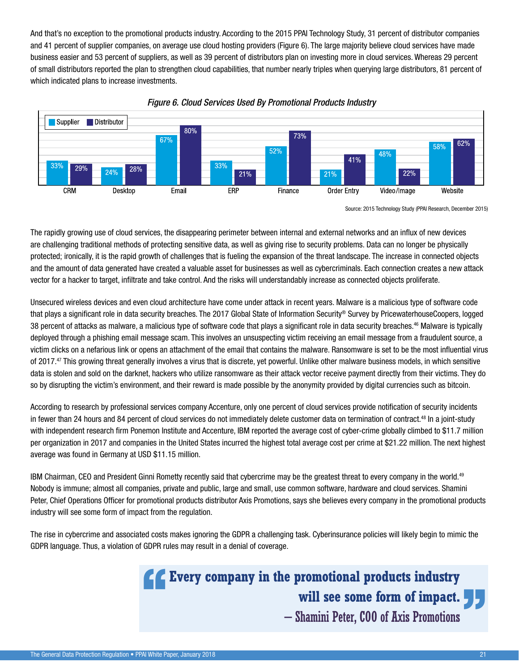And that's no exception to the promotional products industry. According to the 2015 PPAI Technology Study, 31 percent of distributor companies and 41 percent of supplier companies, on average use cloud hosting providers (Figure 6). The large majority believe cloud services have made business easier and 53 percent of suppliers, as well as 39 percent of distributors plan on investing more in cloud services. Whereas 29 percent of small distributors reported the plan to strengthen cloud capabilities, that number nearly triples when querying large distributors, 81 percent of which indicated plans to increase investments.





Source: 2015 Technology Study (PPAI Research, December 2015)

The rapidly growing use of cloud services, the disappearing perimeter between internal and external networks and an influx of new devices are challenging traditional methods of protecting sensitive data, as well as giving rise to security problems. Data can no longer be physically protected; ironically, it is the rapid growth of challenges that is fueling the expansion of the threat landscape. The increase in connected objects and the amount of data generated have created a valuable asset for businesses as well as cybercriminals. Each connection creates a new attack vector for a hacker to target, infiltrate and take control. And the risks will understandably increase as connected objects proliferate.

Unsecured wireless devices and even cloud architecture have come under attack in recent years. Malware is a malicious type of software code that plays a significant role in data security breaches. The 2017 Global State of Information Security® Survey by PricewaterhouseCoopers, logged 38 percent of attacks as malware, a malicious type of software code that plays a significant role in data security breaches.<sup>46</sup> Malware is typically deployed through a phishing email message scam. This involves an unsuspecting victim receiving an email message from a fraudulent source, a victim clicks on a nefarious link or opens an attachment of the email that contains the malware. Ransomware is set to be the most influential virus of 2017.<sup>47</sup> This growing threat generally involves a virus that is discrete, yet powerful. Unlike other malware business models, in which sensitive data is stolen and sold on the darknet, hackers who utilize ransomware as their attack vector receive payment directly from their victims. They do so by disrupting the victim's environment, and their reward is made possible by the anonymity provided by digital currencies such as bitcoin.

According to research by professional services company Accenture, only one percent of cloud services provide notification of security incidents in fewer than 24 hours and 84 percent of cloud services do not immediately delete customer data on termination of contract.<sup>48</sup> In a joint-study with independent research firm Ponemon Institute and Accenture, IBM reported the average cost of cyber-crime globally climbed to \$11.7 million per organization in 2017 and companies in the United States incurred the highest total average cost per crime at \$21.22 million. The next highest average was found in Germany at USD \$11.15 million.

IBM Chairman, CEO and President Ginni Rometty recently said that cybercrime may be the greatest threat to every company in the world.<sup>49</sup> Nobody is immune; almost all companies, private and public, large and small, use common software, hardware and cloud services. Shamini Peter, Chief Operations Officer for promotional products distributor Axis Promotions, says she believes every company in the promotional products industry will see some form of impact from the regulation.

The rise in cybercrime and associated costs makes ignoring the GDPR a challenging task. Cyberinsurance policies will likely begin to mimic the GDPR language. Thus, a violation of GDPR rules may result in a denial of coverage.

## **Every company in the promotional products industry<br>
will see some form of impact.<br>
— Shamini Peter, COO of Axis Promotions will see some form of impact.**<br> **COMPAGE:** Thamini Peter, COO of Axis Promotions — Shamini Peter, COO of Axis Promotions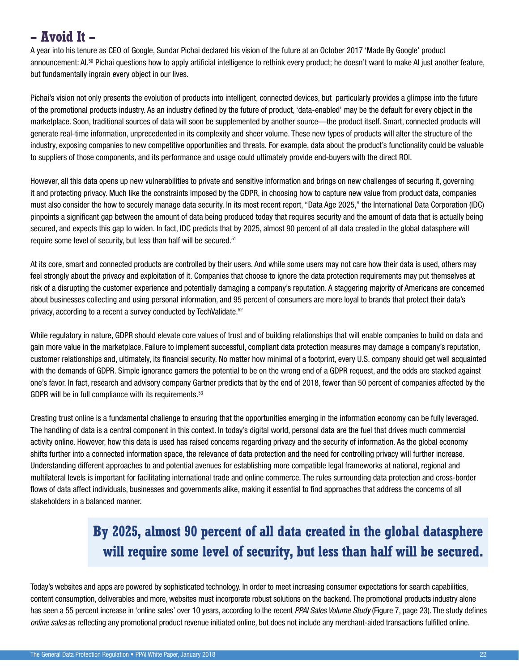## **– Avoid It –**

A year into his tenure as CEO of Google, Sundar Pichai declared his vision of the future at an October 2017 'Made By Google' product announcement: AI.50 Pichai questions how to apply artificial intelligence to rethink every product; he doesn't want to make AI just another feature, but fundamentally ingrain every object in our lives.

Pichai's vision not only presents the evolution of products into intelligent, connected devices, but particularly provides a glimpse into the future of the promotional products industry. As an industry defined by the future of product, 'data-enabled' may be the default for every object in the marketplace. Soon, traditional sources of data will soon be supplemented by another source—the product itself. Smart, connected products will generate real-time information, unprecedented in its complexity and sheer volume. These new types of products will alter the structure of the industry, exposing companies to new competitive opportunities and threats. For example, data about the product's functionality could be valuable to suppliers of those components, and its performance and usage could ultimately provide end-buyers with the direct ROI.

However, all this data opens up new vulnerabilities to private and sensitive information and brings on new challenges of securing it, governing it and protecting privacy. Much like the constraints imposed by the GDPR, in choosing how to capture new value from product data, companies must also consider the how to securely manage data security. In its most recent report, "Data Age 2025," the International Data Corporation (IDC) pinpoints a significant gap between the amount of data being produced today that requires security and the amount of data that is actually being secured, and expects this gap to widen. In fact, IDC predicts that by 2025, almost 90 percent of all data created in the global datasphere will require some level of security, but less than half will be secured.<sup>51</sup>

At its core, smart and connected products are controlled by their users. And while some users may not care how their data is used, others may feel strongly about the privacy and exploitation of it. Companies that choose to ignore the data protection requirements may put themselves at risk of a disrupting the customer experience and potentially damaging a company's reputation. A staggering majority of Americans are concerned about businesses collecting and using personal information, and 95 percent of consumers are more loyal to brands that protect their data's privacy, according to a recent a survey conducted by TechValidate.<sup>52</sup>

While regulatory in nature, GDPR should elevate core values of trust and of building relationships that will enable companies to build on data and gain more value in the marketplace. Failure to implement successful, compliant data protection measures may damage a company's reputation, customer relationships and, ultimately, its financial security. No matter how minimal of a footprint, every U.S. company should get well acquainted with the demands of GDPR. Simple ignorance garners the potential to be on the wrong end of a GDPR request, and the odds are stacked against one's favor. In fact, research and advisory company Gartner predicts that by the end of 2018, fewer than 50 percent of companies affected by the GDPR will be in full compliance with its requirements.<sup>53</sup>

Creating trust online is a fundamental challenge to ensuring that the opportunities emerging in the information economy can be fully leveraged. The handling of data is a central component in this context. In today's digital world, personal data are the fuel that drives much commercial activity online. However, how this data is used has raised concerns regarding privacy and the security of information. As the global economy shifts further into a connected information space, the relevance of data protection and the need for controlling privacy will further increase. Understanding different approaches to and potential avenues for establishing more compatible legal frameworks at national, regional and multilateral levels is important for facilitating international trade and online commerce. The rules surrounding data protection and cross-border flows of data affect individuals, businesses and governments alike, making it essential to find approaches that address the concerns of all stakeholders in a balanced manner.

## **By 2025, almost 90 percent of all data created in the global datasphere will require some level of security, but less than half will be secured.**

Today's websites and apps are powered by sophisticated technology. In order to meet increasing consumer expectations for search capabilities, content consumption, deliverables and more, websites must incorporate robust solutions on the backend. The promotional products industry alone has seen a 55 percent increase in 'online sales' over 10 years, according to the recent *PPAI Sales Volume Study* (Figure 7, page 23). The study defines *online sales* as reflecting any promotional product revenue initiated online, but does not include any merchant-aided transactions fulfilled online.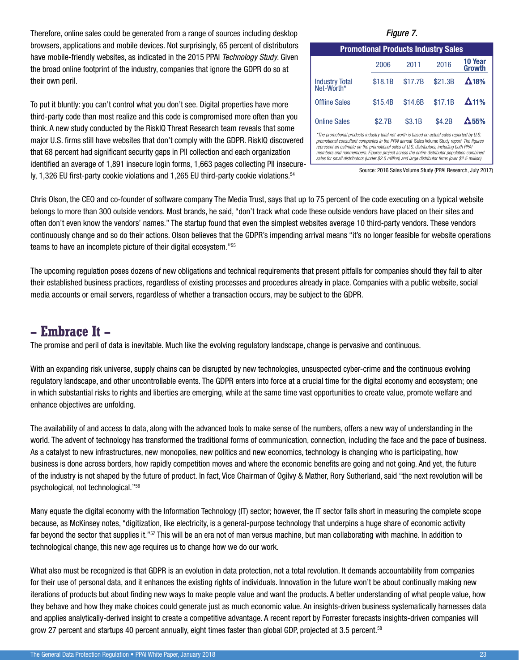Therefore, online sales could be generated from a range of sources including desktop browsers, applications and mobile devices. Not surprisingly, 65 percent of distributors have mobile-friendly websites, as indicated in the 2015 PPAI *Technology Study*. Given the broad online footprint of the industry, companies that ignore the GDPR do so at their own peril.

To put it bluntly: you can't control what you don't see. Digital properties have more third-party code than most realize and this code is compromised more often than you think. A new study conducted by the RiskIQ Threat Research team reveals that some major U.S. firms still have websites that don't comply with the GDPR. RiskIQ discovered that 68 percent had significant security gaps in PII collection and each organization identified an average of 1,891 insecure login forms, 1,663 pages collecting PII insecurely, 1,326 EU first-party cookie violations and 1,265 EU third-party cookie violations.<sup>54</sup>

#### *Figure 7.*

| <b>Promotional Products Industry Sales</b>                                                                                                                                                 |         |         |         |                          |  |  |
|--------------------------------------------------------------------------------------------------------------------------------------------------------------------------------------------|---------|---------|---------|--------------------------|--|--|
|                                                                                                                                                                                            | 2006    | 2011    | 2016    | 10 Year<br><b>Growth</b> |  |  |
| Industry Total<br>Net-Worth*                                                                                                                                                               | \$18.1B | \$17.7B | \$21.3B | $\Delta$ 18%             |  |  |
| <b>Offline Sales</b>                                                                                                                                                                       | \$15.4B | \$14.6B | \$17.1B | $\Delta$ 11%             |  |  |
| <b>Online Sales</b>                                                                                                                                                                        | \$2.7B  | \$3.1B  | \$4.2B  | $\Lambda$ 55%            |  |  |
| *The promotional products industry total net worth is based on actual sales reported by U.S.<br>promotional consultant companies in the PPAI annual Sales Volume Study report. The figures |         |         |         |                          |  |  |

*represent an estimate on the promotional sales of U.S. distributors, including both PPAI members and nonmembers. Figures project across the entire distributor population combined*  sales for small distributors (under \$2.5 million) and large distributor firms (over \$2.5 million).

Source: 2016 Sales Volume Study (PPAI Research, July 2017)

Chris Olson, the CEO and co-founder of software company The Media Trust, says that up to 75 percent of the code executing on a typical website belongs to more than 300 outside vendors. Most brands, he said, "don't track what code these outside vendors have placed on their sites and often don't even know the vendors' names." The startup found that even the simplest websites average 10 third-party vendors. These vendors continuously change and so do their actions. Olson believes that the GDPR's impending arrival means "it's no longer feasible for website operations teams to have an incomplete picture of their digital ecosystem."55

The upcoming regulation poses dozens of new obligations and technical requirements that present pitfalls for companies should they fail to alter their established business practices, regardless of existing processes and procedures already in place. Companies with a public website, social media accounts or email servers, regardless of whether a transaction occurs, may be subject to the GDPR.

### **– Embrace It –**

The promise and peril of data is inevitable. Much like the evolving regulatory landscape, change is pervasive and continuous.

With an expanding risk universe, supply chains can be disrupted by new technologies, unsuspected cyber-crime and the continuous evolving regulatory landscape, and other uncontrollable events. The GDPR enters into force at a crucial time for the digital economy and ecosystem; one in which substantial risks to rights and liberties are emerging, while at the same time vast opportunities to create value, promote welfare and enhance objectives are unfolding.

The availability of and access to data, along with the advanced tools to make sense of the numbers, offers a new way of understanding in the world. The advent of technology has transformed the traditional forms of communication, connection, including the face and the pace of business. As a catalyst to new infrastructures, new monopolies, new politics and new economics, technology is changing who is participating, how business is done across borders, how rapidly competition moves and where the economic benefits are going and not going. And yet, the future of the industry is not shaped by the future of product. In fact, Vice Chairman of Ogilvy & Mather, Rory Sutherland, said "the next revolution will be psychological, not technological."56

Many equate the digital economy with the Information Technology (IT) sector; however, the IT sector falls short in measuring the complete scope because, as McKinsey notes, "digitization, like electricity, is a general-purpose technology that underpins a huge share of economic activity far beyond the sector that supplies it."57 This will be an era not of man versus machine, but man collaborating with machine. In addition to technological change, this new age requires us to change how we do our work.

What also must be recognized is that GDPR is an evolution in data protection, not a total revolution. It demands accountability from companies for their use of personal data, and it enhances the existing rights of individuals. Innovation in the future won't be about continually making new iterations of products but about finding new ways to make people value and want the products. A better understanding of what people value, how they behave and how they make choices could generate just as much economic value. An insights-driven business systematically harnesses data and applies analytically-derived insight to create a competitive advantage. A recent report by Forrester forecasts insights-driven companies will grow 27 percent and startups 40 percent annually, eight times faster than global GDP, projected at 3.5 percent.<sup>58</sup>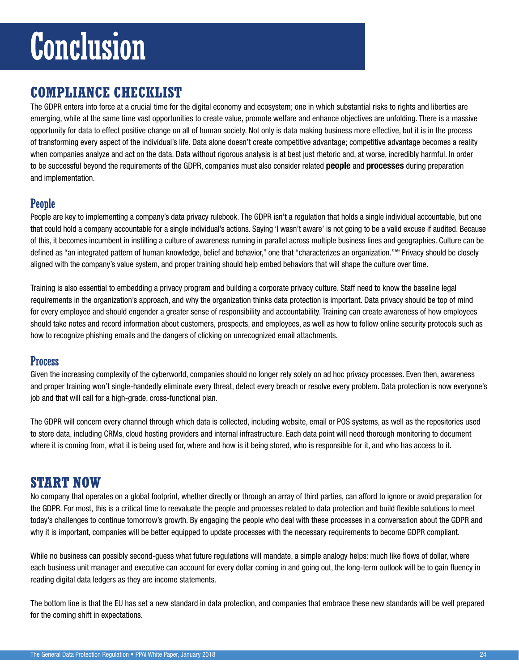## Conclusion

## **COMPLIANCE CHECKLIST**

The GDPR enters into force at a crucial time for the digital economy and ecosystem; one in which substantial risks to rights and liberties are emerging, while at the same time vast opportunities to create value, promote welfare and enhance objectives are unfolding. There is a massive opportunity for data to effect positive change on all of human society. Not only is data making business more effective, but it is in the process of transforming every aspect of the individual's life. Data alone doesn't create competitive advantage; competitive advantage becomes a reality when companies analyze and act on the data. Data without rigorous analysis is at best just rhetoric and, at worse, incredibly harmful. In order to be successful beyond the requirements of the GDPR, companies must also consider related **people** and **processes** during preparation and implementation.

#### People

People are key to implementing a company's data privacy rulebook. The GDPR isn't a regulation that holds a single individual accountable, but one that could hold a company accountable for a single individual's actions. Saying 'I wasn't aware' is not going to be a valid excuse if audited. Because of this, it becomes incumbent in instilling a culture of awareness running in parallel across multiple business lines and geographies. Culture can be defined as "an integrated pattern of human knowledge, belief and behavior," one that "characterizes an organization."59 Privacy should be closely aligned with the company's value system, and proper training should help embed behaviors that will shape the culture over time.

Training is also essential to embedding a privacy program and building a corporate privacy culture. Staff need to know the baseline legal requirements in the organization's approach, and why the organization thinks data protection is important. Data privacy should be top of mind for every employee and should engender a greater sense of responsibility and accountability. Training can create awareness of how employees should take notes and record information about customers, prospects, and employees, as well as how to follow online security protocols such as how to recognize phishing emails and the dangers of clicking on unrecognized email attachments.

#### Process

Given the increasing complexity of the cyberworld, companies should no longer rely solely on ad hoc privacy processes. Even then, awareness and proper training won't single-handedly eliminate every threat, detect every breach or resolve every problem. Data protection is now everyone's job and that will call for a high-grade, cross-functional plan.

The GDPR will concern every channel through which data is collected, including website, email or POS systems, as well as the repositories used to store data, including CRMs, cloud hosting providers and internal infrastructure. Each data point will need thorough monitoring to document where it is coming from, what it is being used for, where and how is it being stored, who is responsible for it, and who has access to it.

## **START NOW**

No company that operates on a global footprint, whether directly or through an array of third parties, can afford to ignore or avoid preparation for the GDPR. For most, this is a critical time to reevaluate the people and processes related to data protection and build flexible solutions to meet today's challenges to continue tomorrow's growth. By engaging the people who deal with these processes in a conversation about the GDPR and why it is important, companies will be better equipped to update processes with the necessary requirements to become GDPR compliant.

While no business can possibly second-quess what future regulations will mandate, a simple analogy helps: much like flows of dollar, where each business unit manager and executive can account for every dollar coming in and going out, the long-term outlook will be to gain fluency in reading digital data ledgers as they are income statements.

The bottom line is that the EU has set a new standard in data protection, and companies that embrace these new standards will be well prepared for the coming shift in expectations.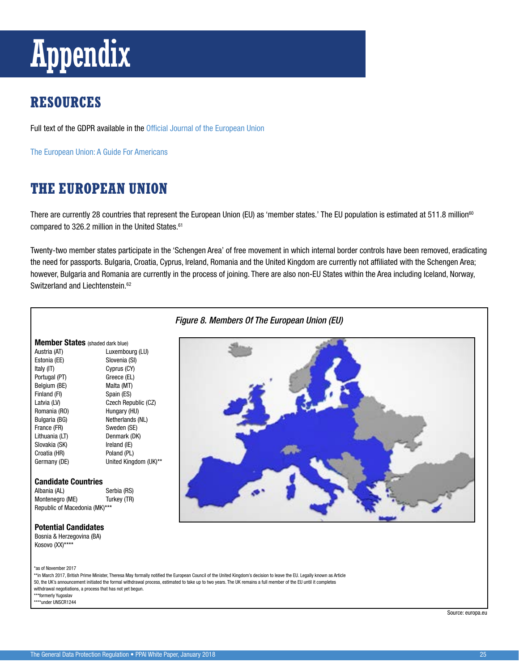# Appendix

## **RESOURCES**

Full text of the GDPR available in the [Official Journal of the European Union](http://ec.europa.eu/justice/data-protection/reform/files/regulation_oj_en.pdf)

[The European Union: A Guide For Americans](http://eeas.europa.eu/sites/eeas/files/guide-for-americans_euintheus.pdf)

## **THE EUROPEAN UNION**

There are currently 28 countries that represent the European Union (EU) as 'member states.' The EU population is estimated at 511.8 million<sup>60</sup> compared to 326.2 million in the United States.<sup>61</sup>

Twenty-two member states participate in the 'Schengen Area' of free movement in which internal border controls have been removed, eradicating the need for passports. Bulgaria, Croatia, Cyprus, Ireland, Romania and the United Kingdom are currently not affiliated with the Schengen Area; however, Bulgaria and Romania are currently in the process of joining. There are also non-EU States within the Area including Iceland, Norway, Switzerland and Liechtenstein.<sup>62</sup>



Potential Candidates Bosnia & Herzegovina (BA) Kosovo (XX)\*\*\*\*

\*as of November 2017

\*\*in March 2017, British Prime Minister, Theresa May formally notified the European Council of the United Kingdom's decision to leave the EU. Legally known as Article 50, the UK's announcement initiated the formal withdrawal process, estimated to take up to two years. The UK remains a full member of the EU until it completes withdrawal negotiations, a process that has not yet begun.

\*\*\*formerly Yugoslav

\*under UNSCR1244

Source: europa.eu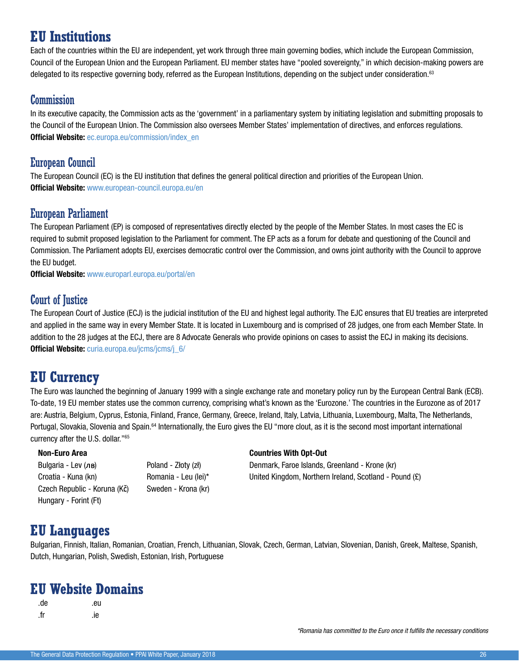## **EU Institutions**

Each of the countries within the EU are independent, yet work through three main governing bodies, which include the European Commission, Council of the European Union and the European Parliament. EU member states have "pooled sovereignty," in which decision-making powers are delegated to its respective governing body, referred as the European Institutions, depending on the subject under consideration.<sup>63</sup>

#### **Commission**

In its executive capacity, the Commission acts as the 'government' in a parliamentary system by initiating legislation and submitting proposals to the Council of the European Union. The Commission also oversees Member States' implementation of directives, and enforces regulations. **Official Website: [ec.europa.eu/commission/index\\_en](http://ec.europa.eu/commission/index_en)** 

#### European Council

The European Council (EC) is the EU institution that defines the general political direction and priorities of the European Union. Official Website: [www.european-council.europa.eu/en](http://www.european-council.europa.eu/en )

#### European Parliament

The European Parliament (EP) is composed of representatives directly elected by the people of the Member States. In most cases the EC is required to submit proposed legislation to the Parliament for comment. The EP acts as a forum for debate and questioning of the Council and Commission. The Parliament adopts EU, exercises democratic control over the Commission, and owns joint authority with the Council to approve the EU budget.

Official Website: [www.europarl.europa.eu/portal/en](http://www.europarl.europa.eu/portal/en)

#### Court of Justice

The European Court of Justice (ECJ) is the judicial institution of the EU and highest legal authority. The EJC ensures that EU treaties are interpreted and applied in the same way in every Member State. It is located in Luxembourg and is comprised of 28 judges, one from each Member State. In addition to the 28 judges at the ECJ, there are 8 Advocate Generals who provide opinions on cases to assist the ECJ in making its decisions. **Official Website: [curia.europa.eu/jcms/jcms/j\\_6/](http://curia.europa.eu/jcms/jcms/j_6/)** 

## **EU Currency**

The Euro was launched the beginning of January 1999 with a single exchange rate and monetary policy run by the European Central Bank (ECB). To-date, 19 EU member states use the common currency, comprising what's known as the 'Eurozone.' The countries in the Eurozone as of 2017 are: Austria, Belgium, Cyprus, Estonia, Finland, France, Germany, Greece, Ireland, Italy, Latvia, Lithuania, Luxembourg, Malta, The Netherlands, Portugal, Slovakia, Slovenia and Spain.<sup>64</sup> Internationally, the Euro gives the EU "more clout, as it is the second most important international currency after the U.S. dollar."65

#### Non-Euro Area

Bulgaria - Lev (лв) Croatia - Kuna (kn) Czech Republic - Koruna (Kč) Hungary - Forint (Ft)

#### Countries With Opt-Out

Denmark, Faroe Islands, Greenland - Krone (kr) United Kingdom, Northern Ireland, Scotland - Pound (£)

## **EU Languages**

Bulgarian, Finnish, Italian, Romanian, Croatian, French, Lithuanian, Slovak, Czech, German, Latvian, Slovenian, Danish, Greek, Maltese, Spanish, Dutch, Hungarian, Polish, Swedish, Estonian, Irish, Portuguese

### **EU Website Domains**

| .de | .eu |
|-----|-----|
| .fr | .ie |

Poland - Złoty (zł) Romania - Leu (lei)\* Sweden - Krona (kr)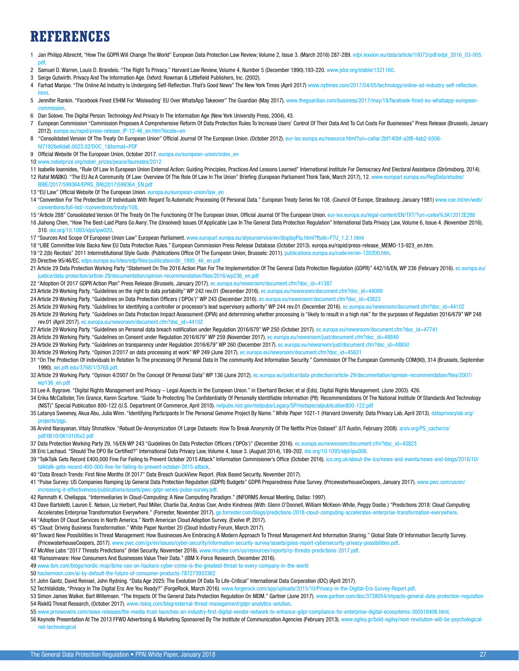## **REFERENCES**

- 1 Jan Philipp Albrecht, "How The GDPR Will Change The World" European Data Protection Law Review, Volume 2, Issue 3. (March 2016) 287-289. [edpl.lexxion.eu/data/article/10073/pdf/edpl\\_2016\\_03-005.](http://edpl.lexxion.eu/data/article/10073/pdf/edpl_2016_03-005.pdf) [pdf](http://edpl.lexxion.eu/data/article/10073/pdf/edpl_2016_03-005.pdf).
- 2 Samuel D. Warren, Louis D. Brandeis. "The Right To Privacy." Harvard Law Review, Volume 4, Number 5 (December 1890).193-220. [www.jstor.org/stable/1321160](http://www.jstor.org/stable/1321160).
- 3 Serge Gutwirth. Privacy And The Information Age. Oxford: Rowman & Littlefield Publishers, Inc. (2002).
- 4 Farhad Manjoo. "The Online Ad Industry Is Undergoing Self-Reflection. That's Good News" The New York Times (April 2017) [www.nytimes.com/2017/04/05/technology/online-ad-industry-self-reflection.](http://www.nytimes.com/2017/04/05/technology/online-ad-industry-self-reflection.html) [html.](http://www.nytimes.com/2017/04/05/technology/online-ad-industry-self-reflection.html)
- 5 Jennifer Rankin. "Facebook Fined £94M For 'Misleading' EU Over WhatsApp Takeover" The Guardian (May 2017). [www.theguardian.com/business/2017/may/18/facebook-fined-eu-whatsapp-european](http://www.theguardian.com/business/2017/may/18/facebook-fined-eu-whatsapp-european-commission)[commission](http://www.theguardian.com/business/2017/may/18/facebook-fined-eu-whatsapp-european-commission).
- 6 Dan Solove. The Digital Person: Technology And Privacy In The Information Age (New York University Press, 2004), 43.
- 7 European Commission "Commission Proposes A Comprehensive Reform Of Data Protection Rules To Increase Users' Control Of Their Data And To Cut Costs For Businesses" Press Release (Brussels, January 2012). [europa.eu/rapid/press-release\\_IP-12-46\\_en.htm?locale=en](http://europa.eu/rapid/press-release_IP-12-46_en.htm?locale=en)
- 8 "Consolidated Version Of The Treaty On European Union" Official Journal Of The European Union. (October 2012). [eur-lex.europa.eu/resource.html?uri=cellar:2bf140bf-a3f8-4ab2-b506](http://eur-lex.europa.eu/resource.html?uri=cellar:2bf140bf-a3f8-4ab2-b506-fd71826e6da6.0023.02/DOC_1&format=PDF) [fd71826e6da6.0023.02/DOC\\_1&format=PDF](http://eur-lex.europa.eu/resource.html?uri=cellar:2bf140bf-a3f8-4ab2-b506-fd71826e6da6.0023.02/DOC_1&format=PDF)
- 9 Official Website Of The European Union, October 2017. [europa.eu/european-union/index\\_en](http://europa.eu/european-union/index_en)
- 10 [www.nobelprize.org/nobel\\_prizes/peace/laureates/2012](http://www.nobelprize.org/nobel_prizes/peace/laureates/2012)
- 11 Isabelle Ioannides, "Rule Of Law In European Union External Action: Guiding Principles, Practices And Lessons Learned" International Institute For Democracy And Electoral Assistance (Strömsborg, 2014).
- 12 Rafał MA KO. "The EU As A Community Of Law: Overview Of The Role Of Law In The Union" Briefing (European Parliament Think Tank, March 2017), 12. www.europarl.europa.eu/RegData/etudes. [BRIE/2017/599364/EPRS\\_BRI\(2017\)599364\\_EN.pdf](http://www.europarl.europa.eu/RegData/etudes/BRIE/2017/599364/EPRS_BRI(2017)599364_EN.pdf)
- 13 "EU Law" Official Website Of The European Union. [europa.eu/european-union/law\\_en](http://europa.eu/european-union/law_en)
- 14 "Convention For The Protection Of Individuals With Regard To Automatic Processing Of Personal Data." European Treaty Series No 108. (Council Of Europe, Strasbourg: January 1981) [www.coe.int/en/web/](http://www.coe.int/en/web/conventions/full-list/-/conventions/treaty/108) [conventions/full-list/-/conventions/treaty/108.](http://www.coe.int/en/web/conventions/full-list/-/conventions/treaty/108)
- 15 "Article 288" Consolidated Version Of The Treaty On The Functioning Of The European Union, Official Journal Of The European Union. [eur-lex.europa.eu/legal-content/EN/TXT/?uri=celex%3A12012E288](http://eur-lex.europa.eu/legal-content/EN/TXT/?uri=celex%3A12012E288)
- 16 Jiahong Chen, "How The Best-Laid Plans Go Awry: The (Unsolved) Issues Of Applicable Law In The General Data Protection Regulation" International Data Privacy Law, Volume 6, Issue 4. (November 2016), 310. [doi.org/10.1093/idpl/ipw020](http://doi.org/10.1093/idpl/ipw020).
- 17 "Sources And Scope Of European Union Law" European Parliament. [www.europarl.europa.eu/atyourservice/en/displayFtu.html?ftuId=FTU\\_1.2.1.html](http://www.europarl.europa.eu/atyourservice/en/displayFtu.html?ftuId=FTU_1.2.1.html)
- 18 "LIBE Committee Vote Backs New EU Data Protection Rules." European Commission Press Release Database (October 2013). europa.eu/rapid/press-release\_MEMO-13-923\_en.htm.
- 19 "2.2(b) Recitals" 2011 Interinstitutional Style Guide. (Publications Office Of The European Union, Brussels: 2011). [publications.europa.eu/code/en/en-120200.htm](http://publications.europa.eu/code/en/en-120200.htm).
- 20 Directive 95/46/EC. [edps.europa.eu/sites/edp/files/publication/dir\\_1995\\_46\\_en.pdf](http://edps.europa.eu/sites/edp/files/publication/dir_1995_46_en.pdf)
- 21 Article 29 Data Protection Working Party "Statement On The 2016 Action Plan For The Implementation Of The General Data Protection Regulation (GDPR)" 442/16/EN, WP 236 (February 2016). [ec.europa.eu/](http://ec.europa.eu/justice/data-protection/article-29/documentation/opinion-recommendation/files/2016/wp236_en.pdf) ustice/data-protection/article-29/documentation/opinion-recommendation/files/2016/wp236\_en.pdf
- 22 "Adoption Of 2017 GDPR Action Plan" Press Release (Brussels, January 2017). [ec.europa.eu/newsroom/document.cfm?doc\\_id=41387](http://ec.europa.eu/newsroom/document.cfm?doc_id=41387)
- 23 Article 29 Working Party. "Guidelines on the right to data portability" WP 242 rev.01 (December 2016)[. ec.europa.eu/newsroom/document.cfm?doc\\_id=44099](http://ec.europa.eu/newsroom/document.cfm?doc_id=44099)
- 24 Article 29 Working Party. "Guidelines on Data Protection Officers ('DPOs')" WP 243 (December 2016). [ec.europa.eu/newsroom/document.cfm?doc\\_id=43823](http://ec.europa.eu/newsroom/document.cfm?doc_id=43823)
- 25 Article 29 Working Party. "Guidelines for identifying a controller or processor's lead supervisory authority" WP 244 rev.01 (December 2016). [ec.europa.eu/newsroom/document.cfm?doc\\_id=44102](http://ec.europa.eu/newsroom/document.cfm?doc_id=44102)
- 26 Article 29 Working Party. "Guidelines on Data Protection Impact Assessment (DPIA) and determining whether processing is "likely to result in a high risk" for the purposes of Regulation 2016/679" WP 248 rev.01 (April 2017). [ec.europa.eu/newsroom/document.cfm?doc\\_id=44102](http://ec.europa.eu/newsroom/document.cfm?doc_id=44102)
- 27 Article 29 Working Party. "Guidelines on Personal data breach notification under Regulation 2016/679" WP 250 (October 2017). [ec.europa.eu/newsroom/document.cfm?doc\\_id=47741](http://ec.europa.eu/newsroom/document.cfm?doc_id=47741)
- 28 Article 29 Working Party. "Guidelines on Consent under Regulation 2016/679" WP 259 (November 2017). [ec.europa.eu/newsroom/just/document.cfm?doc\\_id=48849](http://ec.europa.eu/newsroom/just/document.cfm?doc_id=48849)
- 29 Article 29 Working Party. "Guidelines on transparency under Regulation 2016/679" WP 260 (December 2017). [ec.europa.eu/newsroom/just/document.cfm?doc\\_id=48850](http://ec.europa.eu/newsroom/just/document.cfm?doc_id=48850)
- 30 Article 29 Working Party. "Opinion 2/2017 on data processing at work" WP 249 (June 2017). [ec.europa.eu/newsroom/document.cfm?doc\\_id=45631](http://ec.europa.eu/newsroom/document.cfm?doc_id=45631)
- 31 "On The Protection Of individuals In Relation To The processing Of Personal Data In The community And Information Security." Commission Of The European Community COM(90), 314 (Brussels, September 1990). [aei.pitt.edu/3768/1/3768.pdf](http://aei.pitt.edu/3768/1/3768.pdf).
- 32 Article 29 Working Party. "Opinion 4/2007 On The Concept Of Personal Data" WP 136 (June 2012). [ec.europa.eu/justice/data-protection/article-29/documentation/opinion-recommendation/files/2007/](http://ec.europa.eu/justice/data-protection/article-29/documentation/opinion-recommendation/files/2007/wp136_en.pdf) [wp136\\_en.pdf](http://ec.europa.eu/justice/data-protection/article-29/documentation/opinion-recommendation/files/2007/wp136_en.pdf)
- 33 Lee A. Bygrave. "Digital Rights Management and Privacy Legal Aspects in the European Union." in Eberhard Becker, et al (Eds), Digital Rights Management. (June 2003). 426.
- 34 Erika McCallister, Tim Grance, Karen Scarfone. "Guide To Protecting The Confidentiality Of Personally Identifiable Information (PII): Recommendations Of The National Institute Of Standards And Technology (NIST)" Special Publication 800-122 (U.S. Department Of Commerce, April 2010). [nvlpubs.nist.gov/nistpubs/Legacy/SP/nistspecialpublication800-122.pdf](http://nvlpubs.nist.gov/nistpubs/Legacy/SP/nistspecialpublication800-122.pdf)
- 35 Latanya Sweeney, Akua Abu, Julia Winn. "Identifying Participants In The Personal Genome Project By Name." White Paper 1021-1 (Harvard University: Data Privacy Lab, April 2013). [dataprivacylab.org/](http://dataprivacylab.org/projects/pgp) [projects/pgp](http://dataprivacylab.org/projects/pgp).
- 36 Arvind Narayanan, Vitaly Shmatikov. "Robust De-Anonymization Of Large Datasets: How To Break Anonymity Of The Netflix Prize Dataset" (UT Austin, February 2008). [arxiv.org/PS\\_cache/cs/](http://arxiv.org/PS_cache/cs/pdf/0610/0610105v2.pdf ) [pdf/0610/0610105v2.pdf](http://arxiv.org/PS_cache/cs/pdf/0610/0610105v2.pdf )
- 37 Data Protection Working Party 29, 16/EN WP 243 "Guidelines On Data Protection Officers ('DPOs')" (December 2016). [ec.europa.eu/newsroom/document.cfm?doc\\_id=43823](http://ec.europa.eu/newsroom/document.cfm?doc_id=43823)
- 38 Eric Lachaud. "Should The DPO Be Certified?" International Data Privacy Law, Volume 4, Issue 3. (August 2014), 189-202. [doi.org/10.1093/idpl/ipu008](http://doi.org/10.1093/idpl/ipu008).
- 39 "TalkTalk Gets Record £400,000 Fine For Failing to Prevent October 2015 Attack" Information Commisioner's Office (October 2016). [ico.org.uk/about-the-ico/news-and-events/news-and-blogs/2016/10/](http://ico.org.uk/about-the-ico/news-and-events/news-and-blogs/2016/10/talktalk-gets-record-400-000-fine-for-failing-to-prevent-october-2015-attack) [talktalk-gets-record-400-000-fine-for-failing-to-prevent-october-2015-attack](http://ico.org.uk/about-the-ico/news-and-events/news-and-blogs/2016/10/talktalk-gets-record-400-000-fine-for-failing-to-prevent-october-2015-attack).
- 40 "Data Breach Trends: First Nine Months Of 2017" Data Breach QuickView Report. (Risk Based Security, November 2017).
- 41 "Pulse Survey: US Companies Ramping Up General Data Protection Regulation (GDPR) Budgets" GDPR Preparedness Pulse Survey. (PricewaterhouseCoopers, January 2017). [www.pwc.com/us/en/](http://www.pwc.com/us/en/increasing-it-effectiveness/publications/assets/pwc-gdpr-series-pulse-survey.pdf) [increasing-it-effectiveness/publications/assets/pwc-gdpr-series-pulse-survey.pdf.](http://www.pwc.com/us/en/increasing-it-effectiveness/publications/assets/pwc-gdpr-series-pulse-survey.pdf)
- 42 Ramnath K. Chellappa. "Intermediaries In Cloud-Computing: A New Computing Paradigm." (INFORMS Annual Meeting, Dallas: 1997).
- 43 Dave Bartoletti, Lauren E. Nelson, Liz Herbert, Paul Miller, Charlie Dai, Andras Cser, Andre Kindness (With: Glenn O'Donnell, William McKeon-White, Peggy Dostie.) "Predictions 2018: Cloud Computing Accelerates Enterprise Transformation Everywhere." (Forrester, November 2017). [go.forrester.com/blogs/predictions-2018-cloud-computing-accelerates-enterprise-transformation-everywhere](http://go.forrester.com/blogs/predictions-2018-cloud-computing-accelerates-enterprise-transformation-everywhere).
- 44 "Adoption Of Cloud Services In North America." North American Cloud Adoption Survey. (Evolve IP, 2017). 45 "Cloud: Driving Business Transformation." White Paper Number 20 (Cloud Industry Forum, March 2017).
- 46"Toward New Possibilities In Threat Management: How Businesses Are Embracing A Modern Approach To Threat Management And Information Sharing." Global State Of Information Security Survey. (PricewaterhouseCoopers, 2017). [www.pwc.com/gx/en/issues/cyber-security/information-security-survey/assets/gsiss-report-cybersecurity-privacy-possibilities.pdf.](http://www.pwc.com/gx/en/issues/cyber-security/information-security-survey/assets/gsiss-report-cybersecurity-privacy-possibilities.pdf)
- 47 McAfee Labs "2017 Threats Predictions" (Intel Security, November 2016). [www.mcafee.com/us/resources/reports/rp-threats-predictions-2017.pdf.](http://www.mcafee.com/us/resources/reports/rp-threats-predictions-2017.pdf)
- 48 "Ransomware: How Consumers And Businesses Value Their Data." (IBM X-Force Research, December 2016).
- 49 [www.ibm.com/blogs/nordic-msp/ibms-ceo-on-hackers-cyber-crime-is-the-greatest-threat-to-every-company-in-the-world](http://www.ibm.com/blogs/nordic-msp/ibms-ceo-on-hackers-cyber-crime-is-the-greatest-threat-to-every-company-in-the-world)
- 50 [hackernoon.com/ai-by-default-the-future-of-consumer-products-787273933362](http://hackernoon.com/ai-by-default-the-future-of-consumer-products-787273933362)
- 51 John Gantz, David Reinsel, John Rydning. "Data Age 2025: The Evolution Of Data To Life-Critical" International Data Corporation (IDC) (April 2017).
- 52 TechValidate, "Privacy In The Digital Era: Are You Ready?" (ForgeRock, March 2016). [www.forgerock.com/app/uploads/2015/10/Privacy-in-the-Digital-Era-Survey-Report.pdf](http://www.forgerock.com/app/uploads/2015/10/Privacy-in-the-Digital-Era-Survey-Report.pdf).
- 53 Simon James Walker, Bart Willemsen. "The Impacts Of The General Data Protection Regulation On MDM." Gartner (June 2017). www.gartner.com/doc/3738054/impacts-general-data-protection-regulation 54 RiskIQ Threat Research, (October 2017). [www.riskiq.com/blog/external-threat-management/gdpr-analytics-solution.](http://www.riskiq.com/blog/external-threat-management/gdpr-analytics-solution)
- 55 [www.prnewswire.com/news-releases/the-media-trust-launches-an-industry-first-digital-vendor-network-to-enhance-gdpr-compliance-for-enterprise-digital-ecosystems-300518406.html.](http://www.prnewswire.com/news-releases/the-media-trust-launches-an-industry-first-digital-vendor-network-to-enhance-gdpr-compliance-for-enterprise-digital-ecosystems-300518406.html)
- 56 Keynote Presentation At The 2013 FFWD Advertising & Marketing Sponsored By The Institute of Communication Agencies (February 2013). [www.ogilvy.gr/bold-ogilvy/next-revolution-will-be-psychological](http://www.ogilvy.gr/bold-ogilvy/next-revolution-will-be-psychological-not-technological)[not-technological](http://www.ogilvy.gr/bold-ogilvy/next-revolution-will-be-psychological-not-technological)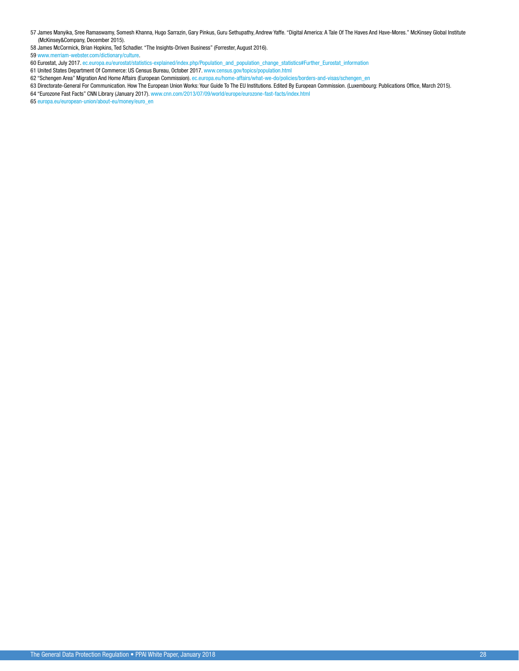57 James Manyika, Sree Ramaswamy, Somesh Khanna, Hugo Sarrazin, Gary Pinkus, Guru Sethupathy, Andrew Yaffe. "Digital America: A Tale Of The Haves And Have-Mores." McKinsey Global Institute (McKinsey&Company, December 2015).

58 James McCormick, Brian Hopkins, Ted Schadler. "The Insights-Driven Business" (Forrester, August 2016).

59 [www.merriam-webster.com/dictionary/culture.](http://www.merriam-webster.com/dictionary/culture)

- 60 Eurostat, July 2017. [ec.europa.eu/eurostat/statistics-explained/index.php/Population\\_and\\_population\\_change\\_statistics#Further\\_Eurostat\\_information](http://ec.europa.eu/eurostat/statistics-explained/index.php/Population_and_population_change_statistics#Further_Eurostat_information)
- 61 United States Department Of Commerce: US Census Bureau, October 2017. [www.census.gov/topics/population.html](http://www.census.gov/topics/population.html)
- 62 "Schengen Area" Migration And Home Affairs (European Commission). [ec.europa.eu/home-affairs/what-we-do/policies/borders-and-visas/schengen\\_en](http://ec.europa.eu/home-affairs/what-we-do/policies/borders-and-visas/schengen_en)
- 63 Directorate-General For Communication. How The European Union Works: Your Guide To The EU Institutions. Edited By European Commission. (Luxembourg: Publications Office, March 2015).
- 64 "Eurozone Fast Facts" CNN Library (January 2017). [www.cnn.com/2013/07/09/world/europe/eurozone-fast-facts/index.html](http://www.cnn.com/2013/07/09/world/europe/eurozone-fast-facts/index.html)
- 65 [europa.eu/european-union/about-eu/money/euro\\_en](http://europa.eu/european-union/about-eu/money/euro_en)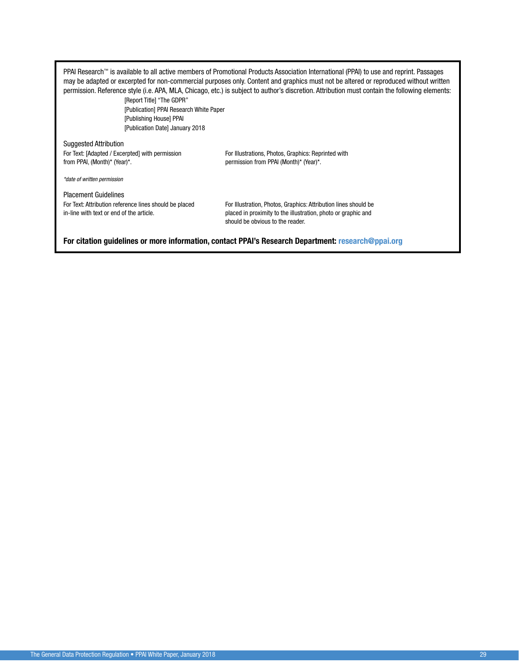PPAI Research™ is available to all active members of Promotional Products Association International (PPAI) to use and reprint. Passages may be adapted or excerpted for non-commercial purposes only. Content and graphics must not be altered or reproduced without written permission. Reference style (i.e. APA, MLA, Chicago, etc.) is subject to author's discretion. Attribution must contain the following elements: [Report Title] "The GDPR"

[Publication] PPAI Research White Paper [Publishing House] PPAI [Publication Date] January 2018

#### Suggested Attribution

For Text: [Adapted / Excerpted] with permission For Illustrations, Photos, Graphics: Reprinted with from PPAI, (Month)\* (Year)\*. com PPAI, (Month)\* (Year)\*.

*\*date of written permission*

Placement Guidelines<br>For Text: Attribution reference lines should be placed

For Illustration, Photos, Graphics: Attribution lines should be in-line with text or end of the article. placed in proximity to the illustration, photo or graphi[c and](mailto:research%40ppai.org?subject=GDPR%20White%20Paper)  should be obvious to the reader.

For citation guidelines or more information, contact PPAI's Research Department: [research@ppai.org](mailto:research%40ppai.org?subject=GDPR%20White%20Paper)